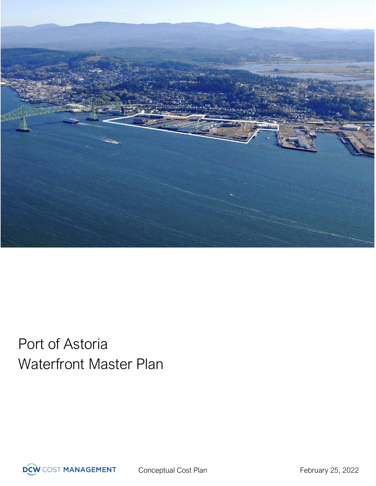

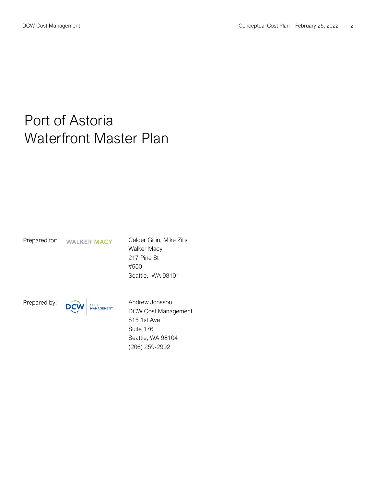Prepared for: WALKER MACY Calder Gillin, Mike Zilis Walker Macy 217 Pine St #550 Seattle, WA 98101

Prepared by: **DCW** COST **Andrew JONSSON** DCW Cost Management 815 1st Ave Suite 176 Seattle, WA 98104 (206) 259-2992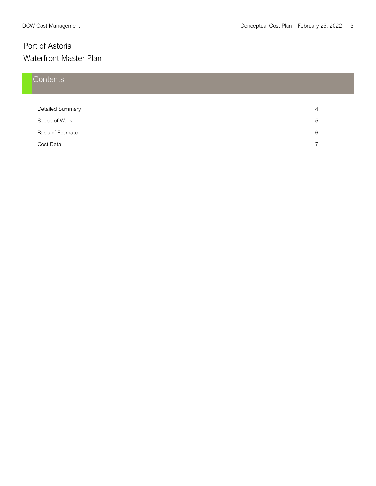## **Contents**

| <b>Detailed Summary</b>  |   |
|--------------------------|---|
| Scope of Work            | 5 |
| <b>Basis of Estimate</b> | 6 |
| Cost Detail              |   |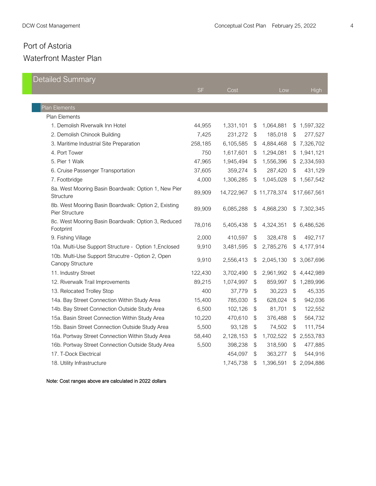| <b>Detailed Summary</b>                                                |           |            |       |              |              |              |
|------------------------------------------------------------------------|-----------|------------|-------|--------------|--------------|--------------|
|                                                                        | <b>SF</b> | Cost       |       | Low          |              | High         |
|                                                                        |           |            |       |              |              |              |
| Plan Elements                                                          |           |            |       |              |              |              |
| Plan Elements                                                          |           |            |       |              |              |              |
| 1. Demolish Riverwalk Inn Hotel                                        | 44,955    | 1,331,101  | \$    | 1,064,881    | $\$\$        | 1,597,322    |
| 2. Demolish Chinook Building                                           | 7,425     | 231,272    | \$    | 185,018      | \$           | 277,527      |
| 3. Maritime Industrial Site Preparation                                | 258,185   | 6,105,585  | \$    | 4,884,468    | \$           | 7,326,702    |
| 4. Port Tower                                                          | 750       | 1,617,601  | \$    | 1,294,081    | \$           | 1,941,121    |
| 5. Pier 1 Walk                                                         | 47,965    | 1,945,494  | \$    | 1,556,396    | \$           | 2,334,593    |
| 6. Cruise Passenger Transportation                                     | 37,605    | 359,274    | $\$\$ | 287,420      | \$           | 431,129      |
| 7. Footbridge                                                          | 4,000     | 1,306,285  | \$    | 1,045,028    | $\mathbb{S}$ | 1,567,542    |
| 8a. West Mooring Basin Boardwalk: Option 1, New Pier<br>Structure      | 89,909    | 14,722,967 |       | \$11,778,374 |              | \$17,667,561 |
| 8b. West Mooring Basin Boardwalk: Option 2, Existing<br>Pier Structure | 89,909    | 6,085,288  | \$    | 4,868,230    |              | \$7,302,345  |
| 8c. West Mooring Basin Boardwalk: Option 3, Reduced<br>Footprint       | 78,016    | 5,405,438  | \$    | 4,324,351    | \$           | 6,486,526    |
| 9. Fishing Village                                                     | 2,000     | 410,597    | $\$\$ | 328,478      | \$           | 492,717      |
| 10a. Multi-Use Support Structure - Option 1, Enclosed                  | 9,910     | 3,481,595  | \$    | 2,785,276    | \$           | 4,177,914    |
| 10b. Multi-Use Support Strucutre - Option 2, Open<br>Canopy Structure  | 9,910     | 2,556,413  | \$    | 2,045,130    | \$           | 3,067,696    |
| 11. Industry Street                                                    | 122,430   | 3,702,490  | \$    | 2,961,992    | $\$\$        | 4,442,989    |
| 12. Riverwalk Trail Improvements                                       | 89,215    | 1,074,997  | \$    | 859,997      | \$           | 1,289,996    |
| 13. Relocated Trolley Stop                                             | 400       | 37,779     | \$    | 30,223       | \$           | 45,335       |
| 14a. Bay Street Connection Within Study Area                           | 15,400    | 785,030    | \$    | 628,024      | $\$\$        | 942,036      |
| 14b. Bay Street Connection Outside Study Area                          | 6,500     | 102,126    | $\$\$ | 81,701       | \$           | 122,552      |
| 15a. Basin Street Connection Within Study Area                         | 10,220    | 470,610    | \$    | 376,488      | \$           | 564,732      |
| 15b. Basin Street Connection Outside Study Area                        | 5,500     | 93,128     | \$    | 74,502       | \$           | 111,754      |
| 16a. Portway Street Connection Within Study Area                       | 58,440    | 2,128,153  | $\$\$ | 1,702,522    | $\$\$        | 2,553,783    |
| 16b. Portway Street Connection Outside Study Area                      | 5,500     | 398,238    | $\$\$ | 318,590      | \$           | 477,885      |
| 17. T-Dock Electrical                                                  |           | 454,097    | \$    | 363,277      | \$           | 544,916      |
| 18. Utility Infrastructure                                             |           | 1,745,738  | \$    | 1,396,591    | \$           | 2,094,886    |

Note: Cost ranges above are calculated in 2022 dollars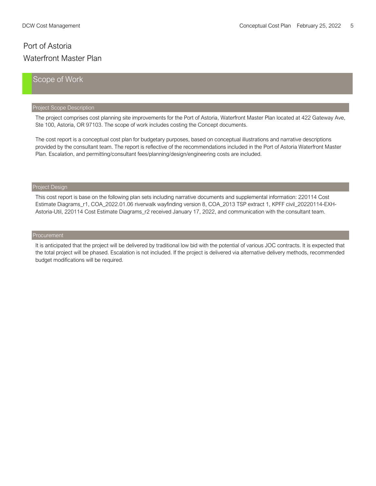#### Scope of Work

#### Project Scope Description

The project comprises cost planning site improvements for the Port of Astoria, Waterfront Master Plan located at 422 Gateway Ave, Ste 100, Astoria, OR 97103. The scope of work includes costing the Concept documents.

The cost report is a conceptual cost plan for budgetary purposes, based on conceptual illustrations and narrative descriptions provided by the consultant team. The report is reflective of the recommendations included in the Port of Astoria Waterfront Master Plan. Escalation, and permitting/consultant fees/planning/design/engineering costs are included.

#### Project Design

This cost report is base on the following plan sets including narrative documents and supplemental information: 220114 Cost Estimate Diagrams\_r1, COA\_2022.01.06 riverwalk wayfinding version 8, COA\_2013 TSP extract 1, KPFF civil\_20220114-EXH-Astoria-Util, 220114 Cost Estimate Diagrams\_r2 received January 17, 2022, and communication with the consultant team.

It is anticipated that the project will be delivered by traditional low bid with the potential of various JOC contracts. It is expected that the total project will be phased. Escalation is not included. If the project is delivered via alternative delivery methods, recommended budget modifications will be required.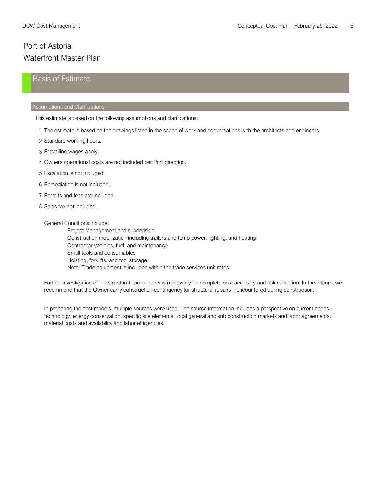#### Basis of Estimate

#### Assumptions and Clarifications

This estimate is based on the following assumptions and clarifications:

- 1 The estimate is based on the drawings listed in the scope of work and conversations with the architects and engineers.
- 2 Standard working hours.
- 3 Prevailing wages apply.
- 4 Owners operational costs are not included per Port direction. 4
- 5 Escalation is not included.
- 6 Remediation is not included.
- 7 Permits and fees are included.
- 8 Sales tax not included.

#### General Conditions include:

Project Management and supervision Construction mobilization including trailers and temp power, lighting, and heating Contractor vehicles, fuel, and maintenance Small tools and consumables Hoisting, forklifts, and tool storage Note: Trade equipment is included within the trade services unit rates

Further investigation of the structural components is necessary for complete cost accuracy and risk reduction. In the interim, we recommend that the Owner carry construction contingency for structural repairs if encountered during construction.

In preparing the cost models, multiple sources were used. The source information includes a perspective on current codes, technology, energy conservation, specific site elements, local general and sub construction markets and labor agreements, material costs and availability and labor efficiencies.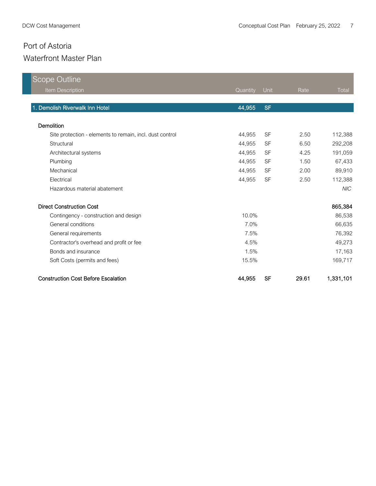| <b>Scope Outline</b>                                     |          |           |       |            |
|----------------------------------------------------------|----------|-----------|-------|------------|
| Item Description                                         | Quantity | Unit      | Rate  | Total      |
| 1. Demolish Riverwalk Inn Hotel                          | 44,955   | <b>SF</b> |       |            |
|                                                          |          |           |       |            |
| Demolition                                               |          |           |       |            |
| Site protection - elements to remain, incl. dust control | 44,955   | <b>SF</b> | 2.50  | 112,388    |
| Structural                                               | 44,955   | <b>SF</b> | 6.50  | 292,208    |
| Architectural systems                                    | 44,955   | <b>SF</b> | 4.25  | 191,059    |
| Plumbing                                                 | 44,955   | <b>SF</b> | 1.50  | 67,433     |
| Mechanical                                               | 44,955   | <b>SF</b> | 2.00  | 89,910     |
| Electrical                                               | 44,955   | <b>SF</b> | 2.50  | 112,388    |
| Hazardous material abatement                             |          |           |       | <b>NIC</b> |
| <b>Direct Construction Cost</b>                          |          |           |       | 865,384    |
| Contingency - construction and design                    | 10.0%    |           |       | 86,538     |
| General conditions                                       | 7.0%     |           |       | 66,635     |
| General requirements                                     | 7.5%     |           |       | 76,392     |
| Contractor's overhead and profit or fee                  | 4.5%     |           |       | 49,273     |
| Bonds and insurance                                      | 1.5%     |           |       | 17,163     |
| Soft Costs (permits and fees)                            | 15.5%    |           |       | 169,717    |
| <b>Construction Cost Before Escalation</b>               | 44,955   | <b>SF</b> | 29.61 | 1,331,101  |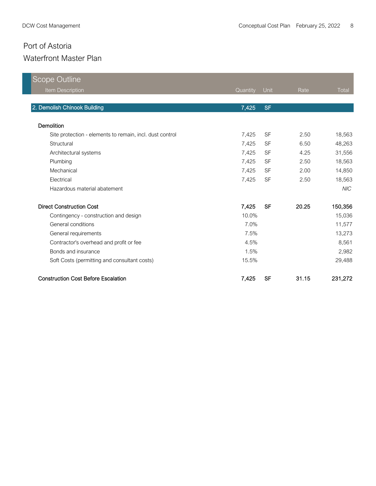| <b>Scope Outline</b>                                     |          |           |       |            |
|----------------------------------------------------------|----------|-----------|-------|------------|
| Item Description                                         | Quantity | Unit      | Rate  | Total      |
|                                                          |          |           |       |            |
| 2. Demolish Chinook Building                             | 7,425    | <b>SF</b> |       |            |
| Demolition                                               |          |           |       |            |
| Site protection - elements to remain, incl. dust control | 7,425    | <b>SF</b> | 2.50  | 18,563     |
| Structural                                               | 7,425    | <b>SF</b> | 6.50  | 48,263     |
| Architectural systems                                    | 7,425    | <b>SF</b> | 4.25  | 31,556     |
| Plumbing                                                 | 7,425    | <b>SF</b> | 2.50  | 18,563     |
| Mechanical                                               | 7,425    | <b>SF</b> | 2.00  | 14,850     |
| Electrical                                               | 7,425    | <b>SF</b> | 2.50  | 18,563     |
| Hazardous material abatement                             |          |           |       | <b>NIC</b> |
| <b>Direct Construction Cost</b>                          | 7,425    | <b>SF</b> | 20.25 | 150,356    |
| Contingency - construction and design                    | 10.0%    |           |       | 15,036     |
| General conditions                                       | 7.0%     |           |       | 11,577     |
| General requirements                                     | 7.5%     |           |       | 13,273     |
| Contractor's overhead and profit or fee                  | 4.5%     |           |       | 8,561      |
| Bonds and insurance                                      | 1.5%     |           |       | 2,982      |
| Soft Costs (permitting and consultant costs)             | 15.5%    |           |       | 29,488     |
| <b>Construction Cost Before Escalation</b>               | 7,425    | <b>SF</b> | 31.15 | 231,272    |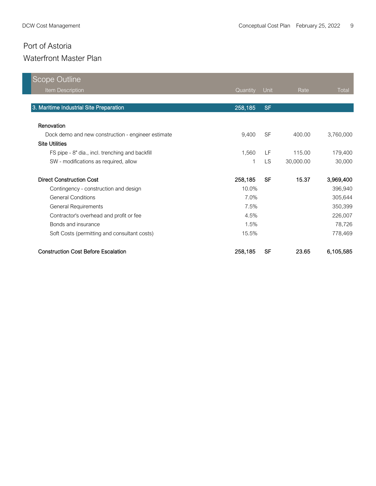| Scope Outline                                      |          |           |           |           |
|----------------------------------------------------|----------|-----------|-----------|-----------|
| <b>Item Description</b>                            | Quantity | Unit      | Rate      | Total     |
|                                                    |          |           |           |           |
| 3. Maritime Industrial Site Preparation            | 258,185  | <b>SF</b> |           |           |
|                                                    |          |           |           |           |
| Renovation                                         |          |           |           |           |
| Dock demo and new construction - engineer estimate | 9,400    | <b>SF</b> | 400.00    | 3,760,000 |
| <b>Site Utilities</b>                              |          |           |           |           |
| FS pipe - 8" dia., incl. trenching and backfill    | 1,560    | LF        | 115.00    | 179,400   |
| SW - modifications as required, allow              | 1        | <b>LS</b> | 30,000.00 | 30,000    |
| <b>Direct Construction Cost</b>                    | 258,185  | SF        | 15.37     | 3,969,400 |
| Contingency - construction and design              | 10.0%    |           |           | 396,940   |
| <b>General Conditions</b>                          | 7.0%     |           |           | 305,644   |
| <b>General Requirements</b>                        | 7.5%     |           |           | 350,399   |
| Contractor's overhead and profit or fee            | 4.5%     |           |           | 226,007   |
| Bonds and insurance                                | 1.5%     |           |           | 78,726    |
| Soft Costs (permitting and consultant costs)       | 15.5%    |           |           | 778,469   |
| <b>Construction Cost Before Escalation</b>         | 258,185  | <b>SF</b> | 23.65     | 6,105,585 |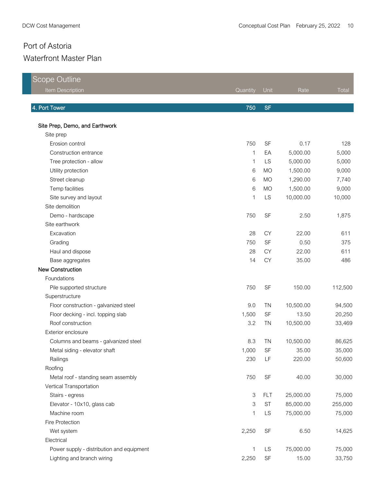| Scope Outline                             |          |            |           |         |
|-------------------------------------------|----------|------------|-----------|---------|
| Item Description                          | Quantity | Unit       | Rate      | Total   |
|                                           |          |            |           |         |
| 4. Port Tower                             | 750      | <b>SF</b>  |           |         |
| Site Prep, Demo, and Earthwork            |          |            |           |         |
| Site prep                                 |          |            |           |         |
| Erosion control                           | 750      | SF         | 0.17      | 128     |
| Construction entrance                     | 1        | EA         | 5,000.00  | 5,000   |
| Tree protection - allow                   | 1        | LS         | 5,000.00  | 5,000   |
| Utility protection                        | 6        | <b>MO</b>  | 1,500.00  | 9,000   |
| Street cleanup                            | 6        | <b>MO</b>  | 1,290.00  | 7,740   |
| Temp facilities                           | 6        | <b>MO</b>  | 1,500.00  | 9,000   |
| Site survey and layout                    | 1        | LS         | 10,000.00 | 10,000  |
| Site demolition                           |          |            |           |         |
| Demo - hardscape                          | 750      | <b>SF</b>  | 2.50      | 1,875   |
| Site earthwork                            |          |            |           |         |
| Excavation                                | 28       | <b>CY</b>  | 22.00     | 611     |
| Grading                                   | 750      | SF         | 0.50      | 375     |
| Haul and dispose                          | 28       | <b>CY</b>  | 22.00     | 611     |
| Base aggregates                           | 14       | <b>CY</b>  | 35.00     | 486     |
| New Construction                          |          |            |           |         |
| Foundations                               |          |            |           |         |
| Pile supported structure                  | 750      | SF         | 150.00    | 112,500 |
| Superstructure                            |          |            |           |         |
| Floor construction - galvanized steel     | 9.0      | <b>TN</b>  | 10,500.00 | 94,500  |
| Floor decking - incl. topping slab        | 1,500    | <b>SF</b>  | 13.50     | 20,250  |
| Roof construction                         | 3.2      | <b>TN</b>  | 10,500.00 | 33,469  |
| Exterior enclosure                        |          |            |           |         |
| Columns and beams - galvanized steel      | 8.3      | <b>TN</b>  | 10,500.00 | 86,625  |
| Metal siding - elevator shaft             | 1,000    | SF         | 35.00     | 35,000  |
| Railings                                  | 230      | LF         | 220.00    | 50,600  |
| Roofing                                   |          |            |           |         |
| Metal roof - standing seam assembly       | 750      | SF         | 40.00     | 30,000  |
| Vertical Transportation                   |          |            |           |         |
| Stairs - egress                           | 3        | <b>FLT</b> | 25,000.00 | 75,000  |
| Elevator - 10x10, glass cab               | 3        | <b>ST</b>  | 85,000.00 | 255,000 |
| Machine room                              | 1        | LS         | 75,000.00 | 75,000  |
| Fire Protection                           |          |            |           |         |
| Wet system                                | 2,250    | <b>SF</b>  | 6.50      | 14,625  |
| Electrical                                |          |            |           |         |
| Power supply - distribution and equipment | 1        | <b>LS</b>  | 75,000.00 | 75,000  |
| Lighting and branch wiring                | 2,250    | SF         | 15.00     | 33,750  |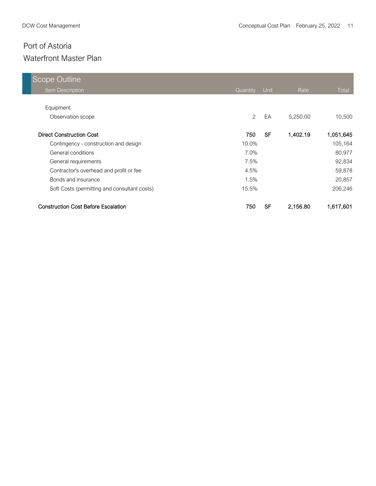| <b>Scope Outline</b>                         |                |           |          |              |
|----------------------------------------------|----------------|-----------|----------|--------------|
| Item Description                             | Quantity       | Unit      | Rate     | <b>Total</b> |
|                                              |                |           |          |              |
| Equipment                                    |                |           |          |              |
| Observation scope                            | $\overline{2}$ | EA        | 5,250.00 | 10,500       |
| <b>Direct Construction Cost</b>              | 750            | <b>SF</b> | 1,402.19 | 1,051,645    |
| Contingency - construction and design        | 10.0%          |           |          | 105,164      |
| General conditions                           | 7.0%           |           |          | 80,977       |
| General requirements                         | 7.5%           |           |          | 92,834       |
| Contractor's overhead and profit or fee      | 4.5%           |           |          | 59,878       |
| Bonds and insurance                          | 1.5%           |           |          | 20,857       |
| Soft Costs (permitting and consultant costs) | 15.5%          |           |          | 206,246      |
| <b>Construction Cost Before Escalation</b>   | 750            | SF        | 2,156.80 | 1,617,601    |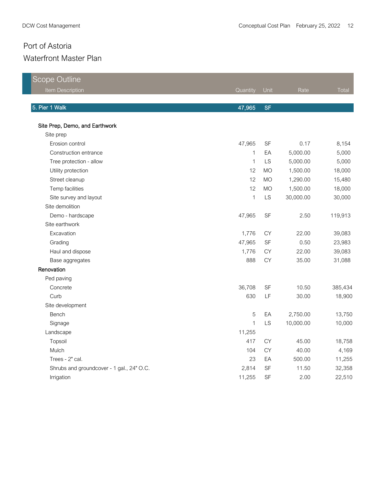| <b>Scope Outline</b>                      |              |           |           |         |
|-------------------------------------------|--------------|-----------|-----------|---------|
| Item Description                          | Quantity     | Unit      | Rate      | Total   |
| 5. Pier 1 Walk                            | 47,965       | <b>SF</b> |           |         |
|                                           |              |           |           |         |
| Site Prep, Demo, and Earthwork            |              |           |           |         |
| Site prep                                 |              |           |           |         |
| Erosion control                           | 47,965       | SF        | 0.17      | 8,154   |
| Construction entrance                     | $\mathbf{1}$ | EA        | 5,000.00  | 5,000   |
| Tree protection - allow                   | $\mathbf{1}$ | LS        | 5,000.00  | 5,000   |
| Utility protection                        | 12           | <b>MO</b> | 1,500.00  | 18,000  |
| Street cleanup                            | 12           | <b>MO</b> | 1,290.00  | 15,480  |
| Temp facilities                           | 12           | <b>MO</b> | 1,500.00  | 18,000  |
| Site survey and layout                    | $\mathbf 1$  | LS        | 30,000.00 | 30,000  |
| Site demolition                           |              |           |           |         |
| Demo - hardscape                          | 47,965       | SF        | 2.50      | 119,913 |
| Site earthwork                            |              |           |           |         |
| Excavation                                | 1,776        | <b>CY</b> | 22.00     | 39,083  |
| Grading                                   | 47,965       | SF        | 0.50      | 23,983  |
| Haul and dispose                          | 1,776        | <b>CY</b> | 22.00     | 39,083  |
| Base aggregates                           | 888          | CY        | 35.00     | 31,088  |
| Renovation                                |              |           |           |         |
| Ped paving                                |              |           |           |         |
| Concrete                                  | 36,708       | <b>SF</b> | 10.50     | 385,434 |
| Curb                                      | 630          | LF        | 30.00     | 18,900  |
| Site development                          |              |           |           |         |
| Bench                                     | 5            | EA        | 2,750.00  | 13,750  |
| Signage                                   | $\mathbf{1}$ | LS        | 10,000.00 | 10,000  |
| Landscape                                 | 11,255       |           |           |         |
| Topsoil                                   | 417          | <b>CY</b> | 45.00     | 18,758  |
| Mulch                                     | 104          | <b>CY</b> | 40.00     | 4,169   |
| Trees - 2" cal.                           | 23           | EA        | 500.00    | 11,255  |
| Shrubs and groundcover - 1 gal., 24" O.C. | 2,814        | SF        | 11.50     | 32,358  |
| Irrigation                                | 11,255       | SF        | 2.00      | 22,510  |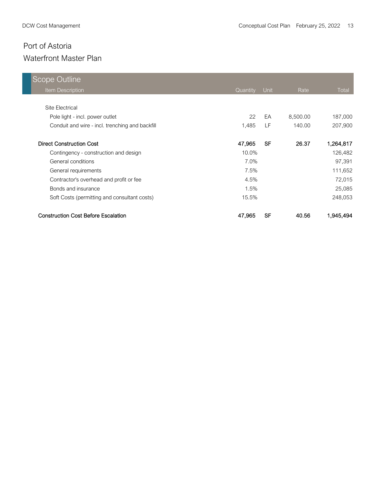| <b>Scope Outline</b>                            |          |           |          |           |
|-------------------------------------------------|----------|-----------|----------|-----------|
| Item Description                                | Quantity | Unit      | Rate     | Total     |
|                                                 |          |           |          |           |
| Site Electrical                                 |          |           |          |           |
| Pole light - incl. power outlet                 | 22       | EA        | 8,500.00 | 187,000   |
| Conduit and wire - incl. trenching and backfill | 1,485    | LF        | 140.00   | 207,900   |
| <b>Direct Construction Cost</b>                 | 47,965   | <b>SF</b> | 26.37    | 1,264,817 |
| Contingency - construction and design           | 10.0%    |           |          | 126,482   |
| General conditions                              | 7.0%     |           |          | 97,391    |
| General requirements                            | 7.5%     |           |          | 111,652   |
| Contractor's overhead and profit or fee         | 4.5%     |           |          | 72,015    |
| Bonds and insurance                             | 1.5%     |           |          | 25,085    |
| Soft Costs (permitting and consultant costs)    | 15.5%    |           |          | 248,053   |
| <b>Construction Cost Before Escalation</b>      | 47,965   | <b>SF</b> | 40.56    | 1,945,494 |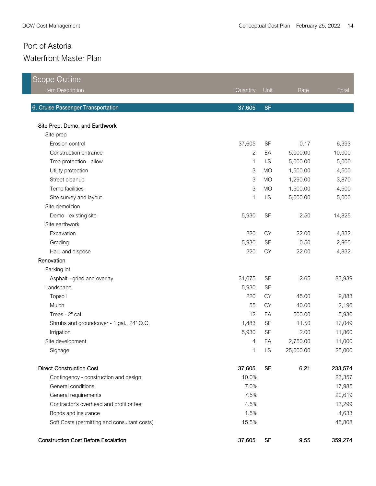| <b>Scope Outline</b>                         |                           |           |           |         |
|----------------------------------------------|---------------------------|-----------|-----------|---------|
| Item Description                             | Quantity                  | Unit      | Rate      | Total   |
| 6. Cruise Passenger Transportation           | 37,605                    | <b>SF</b> |           |         |
| Site Prep, Demo, and Earthwork               |                           |           |           |         |
| Site prep                                    |                           |           |           |         |
| Erosion control                              | 37,605                    | SF        | 0.17      | 6,393   |
| Construction entrance                        | $\overline{2}$            | EA        | 5,000.00  | 10,000  |
| Tree protection - allow                      | 1                         | LS        | 5,000.00  | 5,000   |
| Utility protection                           | $\ensuremath{\mathsf{3}}$ | <b>MO</b> | 1,500.00  | 4,500   |
| Street cleanup                               | $\mathsf 3$               | <b>MO</b> | 1,290.00  | 3,870   |
| Temp facilities                              | $\ensuremath{\mathsf{3}}$ | <b>MO</b> | 1,500.00  | 4,500   |
| Site survey and layout                       | 1                         | LS        | 5,000.00  | 5,000   |
| Site demolition                              |                           |           |           |         |
| Demo - existing site                         | 5,930                     | SF        | 2.50      | 14,825  |
| Site earthwork                               |                           |           |           |         |
| Excavation                                   | 220                       | <b>CY</b> | 22.00     | 4,832   |
| Grading                                      | 5,930                     | <b>SF</b> | 0.50      | 2,965   |
| Haul and dispose                             | 220                       | <b>CY</b> | 22.00     | 4,832   |
| Renovation                                   |                           |           |           |         |
| Parking lot                                  |                           |           |           |         |
| Asphalt - grind and overlay                  | 31,675                    | <b>SF</b> | 2.65      | 83,939  |
| Landscape                                    | 5,930                     | <b>SF</b> |           |         |
| Topsoil                                      | 220                       | <b>CY</b> | 45.00     | 9,883   |
| Mulch                                        | 55                        | <b>CY</b> | 40.00     | 2,196   |
| Trees - 2" cal.                              | 12                        | EA        | 500.00    | 5,930   |
| Shrubs and groundcover - 1 gal., 24" O.C.    | 1,483                     | <b>SF</b> | 11.50     | 17,049  |
| Irrigation                                   | 5,930                     | <b>SF</b> | 2.00      | 11,860  |
| Site development                             | $\overline{4}$            | EA        | 2,750.00  | 11,000  |
| Signage                                      | $\mathbf{1}$              | LS        | 25,000.00 | 25,000  |
| <b>Direct Construction Cost</b>              | 37,605                    | <b>SF</b> | 6.21      | 233,574 |
| Contingency - construction and design        | 10.0%                     |           |           | 23,357  |
| General conditions                           | 7.0%                      |           |           | 17,985  |
| General requirements                         | 7.5%                      |           |           | 20,619  |
| Contractor's overhead and profit or fee      | 4.5%                      |           |           | 13,299  |
| Bonds and insurance                          | 1.5%                      |           |           | 4,633   |
| Soft Costs (permitting and consultant costs) | 15.5%                     |           |           | 45,808  |
| <b>Construction Cost Before Escalation</b>   | 37,605                    | <b>SF</b> | 9.55      | 359,274 |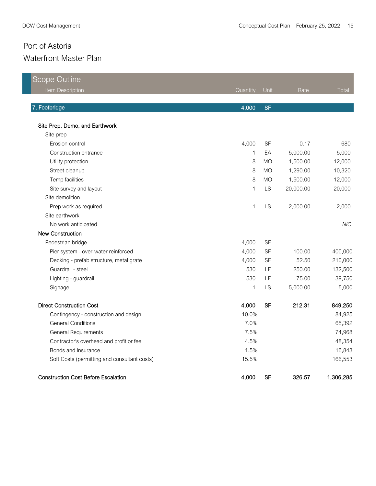| Scope Outline                                |              |           |           |            |
|----------------------------------------------|--------------|-----------|-----------|------------|
| <b>Item Description</b>                      | Quantity     | Unit      | Rate      | Total      |
|                                              |              |           |           |            |
| 7. Footbridge                                | 4,000        | <b>SF</b> |           |            |
| Site Prep, Demo, and Earthwork               |              |           |           |            |
| Site prep                                    |              |           |           |            |
| Erosion control                              | 4,000        | SF        | 0.17      | 680        |
| Construction entrance                        | $\mathbf{1}$ | EA        | 5,000.00  | 5,000      |
| Utility protection                           | 8            | <b>MO</b> | 1,500.00  | 12,000     |
| Street cleanup                               | 8            | <b>MO</b> | 1,290.00  | 10,320     |
| Temp facilities                              | 8            | <b>MO</b> | 1,500.00  | 12,000     |
| Site survey and layout                       | $\mathbf 1$  | LS        | 20,000.00 | 20,000     |
| Site demolition                              |              |           |           |            |
| Prep work as required                        | 1            | LS        | 2,000.00  | 2,000      |
| Site earthwork                               |              |           |           |            |
| No work anticipated                          |              |           |           | <b>NIC</b> |
| New Construction                             |              |           |           |            |
| Pedestrian bridge                            | 4,000        | <b>SF</b> |           |            |
| Pier system - over-water reinforced          | 4,000        | SF        | 100.00    | 400,000    |
| Decking - prefab structure, metal grate      | 4,000        | <b>SF</b> | 52.50     | 210,000    |
| Guardrail - steel                            | 530          | LF        | 250.00    | 132,500    |
| Lighting - guardrail                         | 530          | LF        | 75.00     | 39,750     |
| Signage                                      | 1            | LS        | 5,000.00  | 5,000      |
| <b>Direct Construction Cost</b>              | 4,000        | <b>SF</b> | 212.31    | 849,250    |
| Contingency - construction and design        | 10.0%        |           |           | 84,925     |
| <b>General Conditions</b>                    | 7.0%         |           |           | 65,392     |
| <b>General Requirements</b>                  | 7.5%         |           |           | 74,968     |
| Contractor's overhead and profit or fee      | 4.5%         |           |           | 48,354     |
| Bonds and Insurance                          | 1.5%         |           |           | 16,843     |
| Soft Costs (permitting and consultant costs) | 15.5%        |           |           | 166,553    |
| <b>Construction Cost Before Escalation</b>   | 4,000        | <b>SF</b> | 326.57    | 1,306,285  |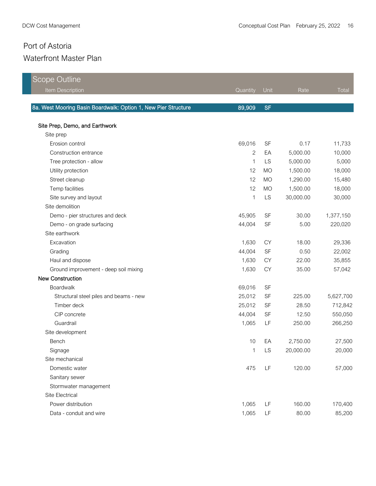| Scope Outline                                                  |              |           |           |           |
|----------------------------------------------------------------|--------------|-----------|-----------|-----------|
| Item Description                                               | Quantity     | Unit      | Rate      | $T$ otal  |
|                                                                |              |           |           |           |
| 8a. West Mooring Basin Boardwalk: Option 1, New Pier Structure | 89,909       | <b>SF</b> |           |           |
| Site Prep, Demo, and Earthwork                                 |              |           |           |           |
| Site prep                                                      |              |           |           |           |
| Erosion control                                                | 69,016       | <b>SF</b> | 0.17      | 11,733    |
| Construction entrance                                          | $\mathbf{2}$ | EA        | 5,000.00  | 10,000    |
| Tree protection - allow                                        | $\mathbf{1}$ | LS        | 5,000.00  | 5,000     |
| Utility protection                                             | 12           | <b>MO</b> | 1,500.00  | 18,000    |
| Street cleanup                                                 | 12           | <b>MO</b> | 1,290.00  | 15,480    |
| Temp facilities                                                | 12           | <b>MO</b> | 1,500.00  | 18,000    |
| Site survey and layout                                         | 1            | LS        | 30,000.00 | 30,000    |
| Site demolition                                                |              |           |           |           |
| Demo - pier structures and deck                                | 45,905       | <b>SF</b> | 30.00     | 1,377,150 |
| Demo - on grade surfacing                                      | 44,004       | <b>SF</b> | 5.00      | 220,020   |
| Site earthwork                                                 |              |           |           |           |
| Excavation                                                     | 1,630        | <b>CY</b> | 18.00     | 29,336    |
| Grading                                                        | 44,004       | <b>SF</b> | 0.50      | 22,002    |
| Haul and dispose                                               | 1,630        | <b>CY</b> | 22.00     | 35,855    |
| Ground improvement - deep soil mixing                          | 1,630        | <b>CY</b> | 35.00     | 57,042    |
| <b>New Construction</b>                                        |              |           |           |           |
| Boardwalk                                                      | 69,016       | <b>SF</b> |           |           |
| Structural steel piles and beams - new                         | 25,012       | <b>SF</b> | 225.00    | 5,627,700 |
| Timber deck                                                    | 25,012       | <b>SF</b> | 28.50     | 712,842   |
| CIP concrete                                                   | 44,004       | <b>SF</b> | 12.50     | 550,050   |
| Guardrail                                                      | 1,065        | LF        | 250.00    | 266,250   |
| Site development                                               |              |           |           |           |
| Bench                                                          | 10           | EA        | 2,750.00  | 27,500    |
| Signage                                                        | 1            | LS        | 20,000.00 | 20,000    |
| Site mechanical                                                |              |           |           |           |
| Domestic water                                                 | 475          | LF        | 120.00    | 57,000    |
| Sanitary sewer                                                 |              |           |           |           |
| Stormwater management                                          |              |           |           |           |
| Site Electrical                                                |              |           |           |           |
| Power distribution                                             | 1,065        | LF        | 160.00    | 170,400   |
| Data - conduit and wire                                        | 1,065        | LF        | 80.00     | 85,200    |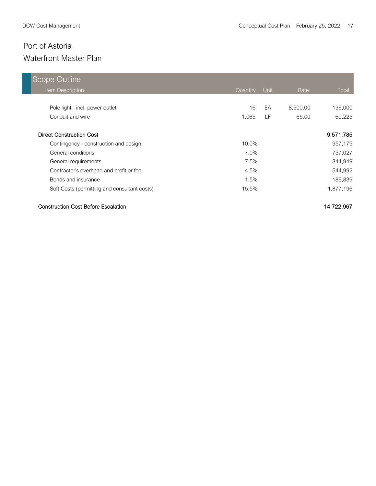| <b>Scope Outline</b>                         |          |      |          |           |
|----------------------------------------------|----------|------|----------|-----------|
| <b>Item Description</b>                      | Quantity | Unit | Rate     | Total     |
|                                              |          |      |          |           |
| Pole light - incl. power outlet              | 16       | EA   | 8,500.00 | 136,000   |
| Conduit and wire                             | 1,065    | LF   | 65.00    | 69,225    |
| <b>Direct Construction Cost</b>              |          |      |          |           |
|                                              |          |      |          | 9,571,785 |
| Contingency - construction and design        | $10.0\%$ |      |          | 957,179   |
| General conditions                           | 7.0%     |      |          | 737,027   |
| General requirements                         | 7.5%     |      |          | 844,949   |
| Contractor's overhead and profit or fee      | 4.5%     |      |          | 544,992   |
| Bonds and insurance                          | 1.5%     |      |          | 189,839   |
| Soft Costs (permitting and consultant costs) | 15.5%    |      |          | 1,877,196 |

#### Construction Cost Before Escalation 14,722,967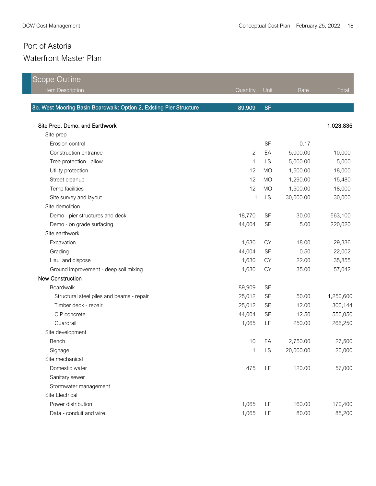| <b>Scope Outline</b>                                                |                |           |           |           |
|---------------------------------------------------------------------|----------------|-----------|-----------|-----------|
| Item Description                                                    | Quantity       | Unit      | Rate      | Total     |
|                                                                     |                |           |           |           |
| 8b. West Mooring Basin Boardwalk: Option 2, Existing Pier Structure | 89,909         | <b>SF</b> |           |           |
| Site Prep, Demo, and Earthwork                                      |                |           |           | 1,023,835 |
| Site prep                                                           |                |           |           |           |
| Erosion control                                                     |                | SF        | 0.17      |           |
| Construction entrance                                               | $\overline{2}$ | EA        | 5,000.00  | 10,000    |
| Tree protection - allow                                             | 1              | <b>LS</b> | 5,000.00  | 5,000     |
| Utility protection                                                  | 12             | <b>MO</b> | 1,500.00  | 18,000    |
| Street cleanup                                                      | 12             | <b>MO</b> | 1,290.00  | 15,480    |
| Temp facilities                                                     | 12             | <b>MO</b> | 1,500.00  | 18,000    |
| Site survey and layout                                              | 1              | LS        | 30,000.00 | 30,000    |
| Site demolition                                                     |                |           |           |           |
| Demo - pier structures and deck                                     | 18,770         | <b>SF</b> | 30.00     | 563,100   |
| Demo - on grade surfacing                                           | 44,004         | SF        | 5.00      | 220,020   |
| Site earthwork                                                      |                |           |           |           |
| Excavation                                                          | 1,630          | <b>CY</b> | 18.00     | 29,336    |
| Grading                                                             | 44,004         | SF        | 0.50      | 22,002    |
| Haul and dispose                                                    | 1,630          | <b>CY</b> | 22.00     | 35,855    |
| Ground improvement - deep soil mixing                               | 1,630          | <b>CY</b> | 35.00     | 57,042    |
| <b>New Construction</b>                                             |                |           |           |           |
| Boardwalk                                                           | 89,909         | <b>SF</b> |           |           |
| Structural steel piles and beams - repair                           | 25,012         | <b>SF</b> | 50.00     | 1,250,600 |
| Timber deck - repair                                                | 25,012         | <b>SF</b> | 12.00     | 300,144   |
| CIP concrete                                                        | 44,004         | SF        | 12.50     | 550,050   |
| Guardrail                                                           | 1,065          | LF        | 250.00    | 266,250   |
| Site development                                                    |                |           |           |           |
| Bench                                                               | 10             | EA        | 2,750.00  | 27,500    |
| Signage                                                             | 1              | LS        | 20,000.00 | 20,000    |
| Site mechanical                                                     |                |           |           |           |
| Domestic water                                                      | 475            | LF        | 120.00    | 57,000    |
| Sanitary sewer                                                      |                |           |           |           |
| Stormwater management                                               |                |           |           |           |
| Site Electrical                                                     |                |           |           |           |
| Power distribution                                                  | 1,065          | LF        | 160.00    | 170,400   |
| Data - conduit and wire                                             | 1,065          | LF        | 80.00     | 85,200    |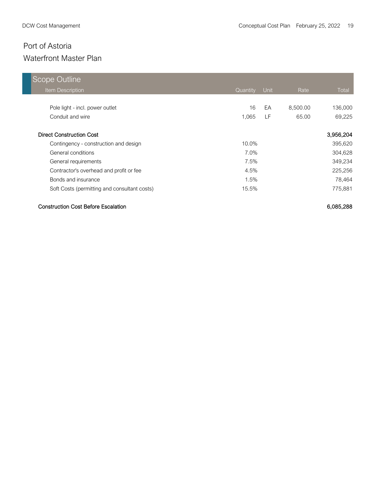| Scope Outline                                |          |      |          |              |
|----------------------------------------------|----------|------|----------|--------------|
| Item Description                             | Quantity | Unit | Rate     | <b>Total</b> |
|                                              |          |      |          |              |
| Pole light - incl. power outlet              | 16       | EA   | 8,500.00 | 136,000      |
| Conduit and wire                             | 1.065    | LF.  | 65.00    | 69,225       |
| <b>Direct Construction Cost</b>              |          |      |          | 3,956,204    |
| Contingency - construction and design        | 10.0%    |      |          | 395,620      |
| General conditions                           | 7.0%     |      |          | 304,628      |
| General requirements                         | 7.5%     |      |          | 349,234      |
| Contractor's overhead and profit or fee      | 4.5%     |      |          | 225,256      |
| Bonds and insurance                          | 1.5%     |      |          | 78,464       |
| Soft Costs (permitting and consultant costs) | 15.5%    |      |          | 775,881      |

#### Construction Cost Before Escalation 6,085,288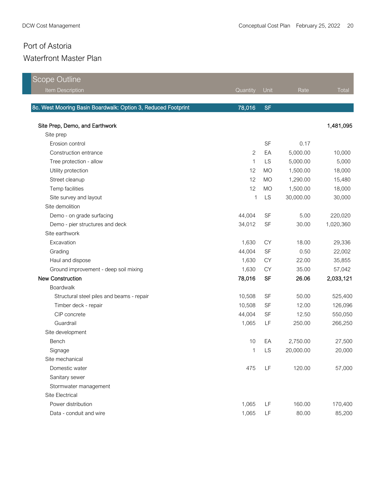| <b>Scope Outline</b>                                          |                |           |           |           |
|---------------------------------------------------------------|----------------|-----------|-----------|-----------|
| Item Description                                              | Quantity       | Unit      | Rate      | Total     |
|                                                               |                |           |           |           |
| 8c. West Mooring Basin Boardwalk: Option 3, Reduced Footprint | 78,016         | <b>SF</b> |           |           |
| Site Prep, Demo, and Earthwork                                |                |           |           | 1,481,095 |
| Site prep                                                     |                |           |           |           |
| Erosion control                                               |                | SF        | 0.17      |           |
| Construction entrance                                         | $\overline{2}$ | EA        | 5,000.00  | 10,000    |
| Tree protection - allow                                       | 1              | <b>LS</b> | 5,000.00  | 5,000     |
| Utility protection                                            | 12             | <b>MO</b> | 1,500.00  | 18,000    |
| Street cleanup                                                | 12             | <b>MO</b> | 1,290.00  | 15,480    |
| Temp facilities                                               | 12             | <b>MO</b> | 1,500.00  | 18,000    |
| Site survey and layout                                        | 1              | LS        | 30,000.00 | 30,000    |
| Site demolition                                               |                |           |           |           |
| Demo - on grade surfacing                                     | 44,004         | <b>SF</b> | 5.00      | 220,020   |
| Demo - pier structures and deck                               | 34,012         | SF        | 30.00     | 1,020,360 |
| Site earthwork                                                |                |           |           |           |
| Excavation                                                    | 1,630          | <b>CY</b> | 18.00     | 29,336    |
| Grading                                                       | 44,004         | SF        | 0.50      | 22,002    |
| Haul and dispose                                              | 1,630          | <b>CY</b> | 22.00     | 35,855    |
| Ground improvement - deep soil mixing                         | 1,630          | <b>CY</b> | 35.00     | 57,042    |
| New Construction                                              | 78,016         | <b>SF</b> | 26.06     | 2,033,121 |
| Boardwalk                                                     |                |           |           |           |
| Structural steel piles and beams - repair                     | 10,508         | <b>SF</b> | 50.00     | 525,400   |
| Timber deck - repair                                          | 10,508         | <b>SF</b> | 12.00     | 126,096   |
| CIP concrete                                                  | 44,004         | <b>SF</b> | 12.50     | 550,050   |
| Guardrail                                                     | 1,065          | LF        | 250.00    | 266,250   |
| Site development                                              |                |           |           |           |
| Bench                                                         | 10             | EA        | 2,750.00  | 27,500    |
| Signage                                                       | 1              | LS        | 20,000.00 | 20,000    |
| Site mechanical                                               |                |           |           |           |
| Domestic water                                                | 475            | LF        | 120.00    | 57,000    |
| Sanitary sewer                                                |                |           |           |           |
| Stormwater management                                         |                |           |           |           |
| Site Electrical                                               |                |           |           |           |
| Power distribution                                            | 1,065          | LF        | 160.00    | 170,400   |
| Data - conduit and wire                                       | 1,065          | LF        | 80.00     | 85,200    |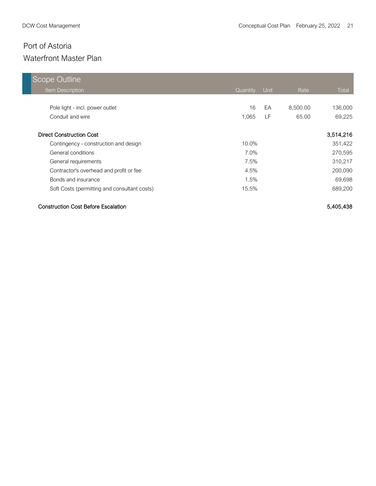| Scope Outline                                |          |      |          |           |
|----------------------------------------------|----------|------|----------|-----------|
| <b>Item Description</b>                      | Quantity | Unit | Rate     | Total     |
|                                              |          |      |          |           |
| Pole light - incl. power outlet              | 16       | EA   | 8,500.00 | 136,000   |
| Conduit and wire                             | 1.065    | LF   | 65.00    | 69,225    |
|                                              |          |      |          |           |
| <b>Direct Construction Cost</b>              |          |      |          | 3,514,216 |
| Contingency - construction and design        | $10.0\%$ |      |          | 351,422   |
| General conditions                           | $7.0\%$  |      |          | 270,595   |
| General requirements                         | 7.5%     |      |          | 310,217   |
| Contractor's overhead and profit or fee      | 4.5%     |      |          | 200,090   |
| Bonds and insurance                          | 1.5%     |      |          | 69,698    |
| Soft Costs (permitting and consultant costs) | 15.5%    |      |          | 689,200   |

#### Construction Cost Before Escalation 5,405,438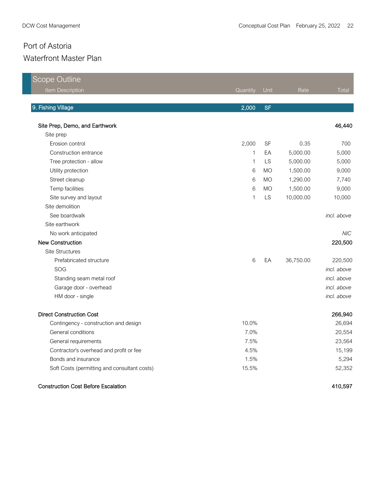<u> 1989 - Johann Stein, marwolaethau a bhann an Amhair Aonaichte an t-Aonaichte an Aonaichte an Aonaichte an Aon</u>

| <b>Scope Outline</b>                         |              |           |           |             |
|----------------------------------------------|--------------|-----------|-----------|-------------|
| Item Description                             | Quantity     | Unit      | Rate      | Total       |
| 9. Fishing Village                           | 2,000        | <b>SF</b> |           |             |
| Site Prep, Demo, and Earthwork               |              |           |           | 46,440      |
| Site prep                                    |              |           |           |             |
| Erosion control                              | 2,000        | <b>SF</b> | 0.35      | 700         |
| Construction entrance                        | 1            | EA        | 5,000.00  | 5,000       |
| Tree protection - allow                      | $\mathbf{1}$ | LS        | 5,000.00  | 5,000       |
| Utility protection                           | 6            | <b>MO</b> | 1,500.00  | 9,000       |
| Street cleanup                               | 6            | <b>MO</b> | 1,290.00  | 7,740       |
| Temp facilities                              | 6            | <b>MO</b> | 1,500.00  | 9,000       |
| Site survey and layout                       | $\mathbf{1}$ | LS        | 10,000.00 | 10,000      |
| Site demolition                              |              |           |           |             |
| See boardwalk                                |              |           |           | incl. above |
| Site earthwork                               |              |           |           |             |
| No work anticipated                          |              |           |           | <b>NIC</b>  |
| <b>New Construction</b>                      |              |           |           | 220,500     |
| <b>Site Structures</b>                       |              |           |           |             |
| Prefabricated structure                      | 6            | EA        | 36,750.00 | 220,500     |
| SOG                                          |              |           |           | incl. above |
| Standing seam metal roof                     |              |           |           | incl. above |
| Garage door - overhead                       |              |           |           | incl. above |
| HM door - single                             |              |           |           | incl. above |
| <b>Direct Construction Cost</b>              |              |           |           | 266,940     |
| Contingency - construction and design        | 10.0%        |           |           | 26,694      |
| General conditions                           | 7.0%         |           |           | 20,554      |
| General requirements                         | 7.5%         |           |           | 23,564      |
| Contractor's overhead and profit or fee      | 4.5%         |           |           | 15,199      |
| Bonds and insurance                          | 1.5%         |           |           | 5,294       |
| Soft Costs (permitting and consultant costs) | 15.5%        |           |           | 52,352      |

#### Construction Cost Before Escalation 410,597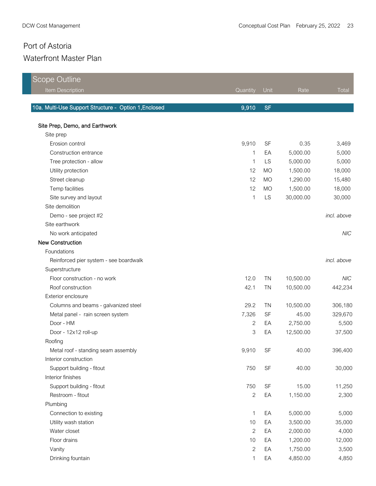| <b>Scope Outline</b>                                  |                |           |           |             |
|-------------------------------------------------------|----------------|-----------|-----------|-------------|
| Item Description                                      | Quantity       | Unit      | Rate      | Total       |
| 10a. Multi-Use Support Structure - Option 1, Enclosed | 9,910          | <b>SF</b> |           |             |
| Site Prep, Demo, and Earthwork                        |                |           |           |             |
| Site prep                                             |                |           |           |             |
| Erosion control                                       | 9,910          | <b>SF</b> | 0.35      | 3,469       |
| Construction entrance                                 | 1              | EA        | 5,000.00  | 5,000       |
| Tree protection - allow                               | 1              | <b>LS</b> | 5,000.00  | 5,000       |
| Utility protection                                    | 12             | <b>MO</b> | 1,500.00  | 18,000      |
| Street cleanup                                        | 12             | <b>MO</b> | 1,290.00  | 15,480      |
| Temp facilities                                       | 12             | <b>MO</b> | 1,500.00  | 18,000      |
| Site survey and layout                                | $\mathbf{1}$   | LS        | 30,000.00 | 30,000      |
| Site demolition                                       |                |           |           |             |
| Demo - see project #2                                 |                |           |           | incl. above |
| Site earthwork                                        |                |           |           |             |
| No work anticipated                                   |                |           |           | <b>NIC</b>  |
| <b>New Construction</b>                               |                |           |           |             |
| Foundations                                           |                |           |           |             |
| Reinforced pier system - see boardwalk                |                |           |           | incl. above |
| Superstructure                                        |                |           |           |             |
| Floor construction - no work                          | 12.0           | <b>TN</b> | 10,500.00 | <b>NIC</b>  |
| Roof construction                                     | 42.1           | <b>TN</b> | 10,500.00 | 442,234     |
| Exterior enclosure                                    |                |           |           |             |
| Columns and beams - galvanized steel                  | 29.2           | <b>TN</b> | 10,500.00 | 306,180     |
| Metal panel - rain screen system                      | 7,326          | <b>SF</b> | 45.00     | 329,670     |
| Door - HM                                             | $\overline{c}$ | EA        | 2,750.00  | 5,500       |
| Door - 12x12 roll-up                                  | 3              | EA        | 12,500.00 | 37,500      |
| Roofing                                               |                |           |           |             |
| Metal roof - standing seam assembly                   | 9,910          | SF        | 40.00     | 396,400     |
| Interior construction                                 |                |           |           |             |
| Support building - fitout                             | 750            | <b>SF</b> | 40.00     | 30,000      |
| Interior finishes                                     |                |           |           |             |
| Support building - fitout                             | 750            | SF        | 15.00     | 11,250      |
| Restroom - fitout                                     | $\overline{2}$ | EA        | 1,150.00  | 2,300       |
| Plumbing                                              |                |           |           |             |
| Connection to existing                                | 1              | EA        | 5,000.00  | 5,000       |
| Utility wash station                                  | 10             | EA        | 3,500.00  | 35,000      |
| Water closet                                          | $\overline{c}$ | EA        | 2,000.00  | 4,000       |
| Floor drains                                          | 10             | EA        | 1,200.00  | 12,000      |
| Vanity                                                | $\overline{c}$ | EA        | 1,750.00  | 3,500       |
| Drinking fountain                                     | 1              | EA        | 4,850.00  | 4,850       |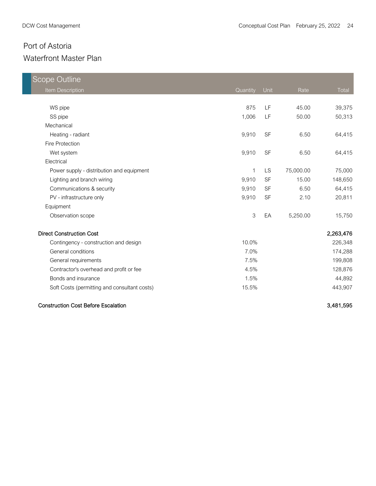| <b>Scope Outline</b>                         |          |           |           |           |
|----------------------------------------------|----------|-----------|-----------|-----------|
| <b>Item Description</b>                      | Quantity | Unit      | Rate      | Total     |
|                                              |          |           |           |           |
| WS pipe                                      | 875      | LF        | 45.00     | 39,375    |
| SS pipe                                      | 1,006    | LF        | 50.00     | 50,313    |
| Mechanical                                   |          |           |           |           |
| Heating - radiant                            | 9,910    | <b>SF</b> | 6.50      | 64,415    |
| Fire Protection                              |          |           |           |           |
| Wet system                                   | 9,910    | <b>SF</b> | 6.50      | 64,415    |
| Electrical                                   |          |           |           |           |
| Power supply - distribution and equipment    | 1        | LS        | 75,000.00 | 75,000    |
| Lighting and branch wiring                   | 9,910    | <b>SF</b> | 15.00     | 148,650   |
| Communications & security                    | 9,910    | <b>SF</b> | 6.50      | 64,415    |
| PV - infrastructure only                     | 9,910    | <b>SF</b> | 2.10      | 20,811    |
| Equipment                                    |          |           |           |           |
| Observation scope                            | 3        | EA        | 5,250.00  | 15,750    |
| <b>Direct Construction Cost</b>              |          |           |           | 2,263,476 |
| Contingency - construction and design        | 10.0%    |           |           | 226,348   |
| General conditions                           | 7.0%     |           |           | 174,288   |
| General requirements                         | 7.5%     |           |           | 199,808   |
| Contractor's overhead and profit or fee      | 4.5%     |           |           | 128,876   |
| Bonds and insurance                          | 1.5%     |           |           | 44,892    |
| Soft Costs (permitting and consultant costs) | 15.5%    |           |           | 443,907   |
| <b>Construction Cost Before Escalation</b>   |          |           |           | 3,481,595 |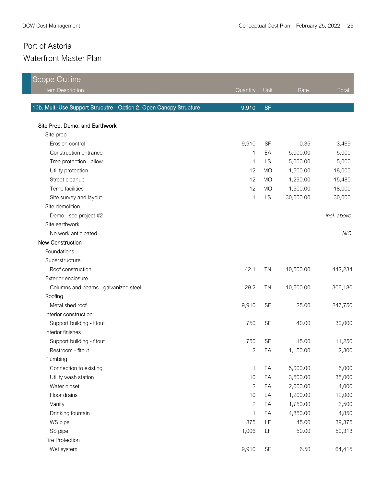| Scope Outline                                                      |              |           |           |             |
|--------------------------------------------------------------------|--------------|-----------|-----------|-------------|
| Item Description                                                   | Quantity     | Unit      | Rate      | Total       |
|                                                                    |              |           |           |             |
| 10b. Multi-Use Support Strucutre - Option 2, Open Canopy Structure | 9,910        | <b>SF</b> |           |             |
| Site Prep, Demo, and Earthwork                                     |              |           |           |             |
| Site prep                                                          |              |           |           |             |
| Erosion control                                                    | 9,910        | <b>SF</b> | 0.35      | 3,469       |
| Construction entrance                                              | 1            | EA        | 5,000.00  | 5,000       |
| Tree protection - allow                                            | 1            | LS        | 5,000.00  | 5,000       |
| Utility protection                                                 | 12           | <b>MO</b> | 1,500.00  | 18,000      |
| Street cleanup                                                     | 12           | <b>MO</b> | 1,290.00  | 15,480      |
| Temp facilities                                                    | 12           | <b>MO</b> | 1,500.00  | 18,000      |
| Site survey and layout                                             | $\mathbf{1}$ | LS        | 30,000.00 | 30,000      |
| Site demolition                                                    |              |           |           |             |
| Demo - see project #2                                              |              |           |           | incl. above |
| Site earthwork                                                     |              |           |           |             |
| No work anticipated                                                |              |           |           | <b>NIC</b>  |
| <b>New Construction</b>                                            |              |           |           |             |
| Foundations                                                        |              |           |           |             |
| Superstructure                                                     |              |           |           |             |
| Roof construction                                                  | 42.1         | <b>TN</b> | 10,500.00 | 442,234     |
| Exterior enclosure                                                 |              |           |           |             |
| Columns and beams - galvanized steel                               | 29.2         | <b>TN</b> | 10,500.00 | 306,180     |
| Roofing                                                            |              |           |           |             |
| Metal shed roof                                                    | 9,910        | <b>SF</b> | 25.00     | 247,750     |
| Interior construction                                              |              |           |           |             |
| Support building - fitout                                          | 750          | SF        | 40.00     | 30,000      |
| Interior finishes                                                  |              |           |           |             |
| Support building - fitout                                          | 750          | <b>SF</b> | 15.00     | 11,250      |
| Restroom - fitout                                                  | 2            | EA        | 1,150.00  | 2,300       |
| Plumbing                                                           |              |           |           |             |
| Connection to existing                                             | 1            | EA        | 5,000.00  | 5,000       |
| Utility wash station                                               | 10           | EA        | 3,500.00  | 35,000      |
| Water closet                                                       | $\mathbf{2}$ | EA        | 2,000.00  | 4,000       |
| Floor drains                                                       | 10           | EA        | 1,200.00  | 12,000      |
| Vanity                                                             | $\mathbf{2}$ | EA        | 1,750.00  | 3,500       |
| Drinking fountain                                                  | $\mathbf{1}$ | EA        | 4,850.00  | 4,850       |
| WS pipe                                                            | 875          | LF        | 45.00     | 39,375      |
| SS pipe                                                            | 1,006        | LF        | 50.00     | 50,313      |
| Fire Protection                                                    |              |           |           |             |
| Wet system                                                         | 9,910        | SF        | 6.50      | 64,415      |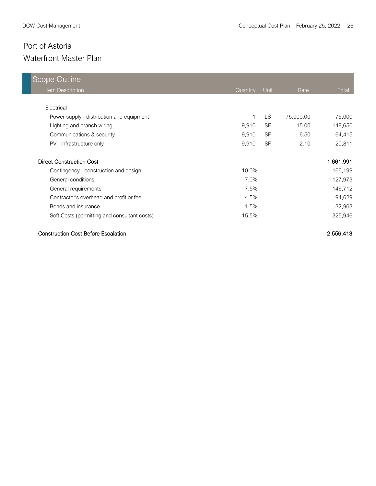| <b>Scope Outline</b>                         |          |           |           |           |
|----------------------------------------------|----------|-----------|-----------|-----------|
| <b>Item Description</b>                      | Quantity | Unit      | Rate      | Total     |
|                                              |          |           |           |           |
| Electrical                                   |          |           |           |           |
| Power supply - distribution and equipment    |          | LS.       | 75,000.00 | 75,000    |
| Lighting and branch wiring                   | 9,910    | <b>SF</b> | 15.00     | 148,650   |
| Communications & security                    | 9,910    | <b>SF</b> | 6.50      | 64,415    |
| PV - infrastructure only                     | 9,910    | <b>SF</b> | 2.10      | 20,811    |
| <b>Direct Construction Cost</b>              |          |           |           | 1,661,991 |
| Contingency - construction and design        | 10.0%    |           |           | 166,199   |
| General conditions                           | 7.0%     |           |           | 127,973   |
| General requirements                         | 7.5%     |           |           | 146,712   |
| Contractor's overhead and profit or fee      | 4.5%     |           |           | 94,629    |
| Bonds and insurance                          | 1.5%     |           |           | 32,963    |
| Soft Costs (permitting and consultant costs) | 15.5%    |           |           | 325,946   |

#### Construction Cost Before Escalation 2,556,413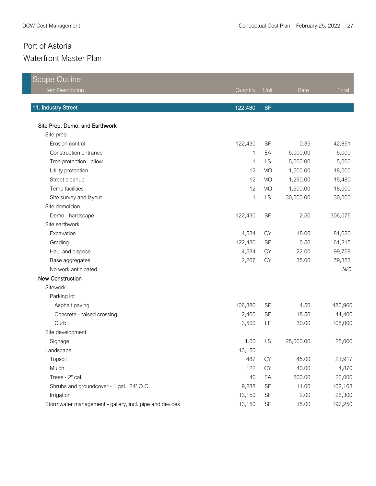Scope Outline

| Scope Outline                                           |             |           |           |            |
|---------------------------------------------------------|-------------|-----------|-----------|------------|
| Item Description                                        | Quantity    | Unit      | Rate      | Total      |
|                                                         |             |           |           |            |
| 11. Industry Street                                     | 122,430     | <b>SF</b> |           |            |
| Site Prep, Demo, and Earthwork                          |             |           |           |            |
| Site prep                                               |             |           |           |            |
| Erosion control                                         | 122,430     | <b>SF</b> | 0.35      | 42,851     |
| Construction entrance                                   | 1           | EA        | 5,000.00  | 5,000      |
| Tree protection - allow                                 | $\mathbf 1$ | LS        | 5,000.00  | 5,000      |
| Utility protection                                      | 12          | <b>MO</b> | 1,500.00  | 18,000     |
| Street cleanup                                          | 12          | <b>MO</b> | 1,290.00  | 15,480     |
| Temp facilities                                         | 12          | <b>MO</b> | 1,500.00  | 18,000     |
| Site survey and layout                                  | 1           | LS        | 30,000.00 | 30,000     |
| Site demolition                                         |             |           |           |            |
| Demo - hardscape                                        | 122,430     | SF        | 2.50      | 306,075    |
| Site earthwork                                          |             |           |           |            |
| Excavation                                              | 4,534       | <b>CY</b> | 18.00     | 81,620     |
| Grading                                                 | 122,430     | <b>SF</b> | 0.50      | 61,215     |
| Haul and dispose                                        | 4,534       | <b>CY</b> | 22.00     | 99,758     |
| Base aggregates                                         | 2,267       | CY        | 35.00     | 79,353     |
| No work anticipated                                     |             |           |           | <b>NIC</b> |
| <b>New Construction</b>                                 |             |           |           |            |
| Sitework                                                |             |           |           |            |
| Parking lot                                             |             |           |           |            |
| Asphalt paving                                          | 106,880     | <b>SF</b> | 4.50      | 480,960    |
| Concrete - raised crossing                              | 2,400       | SF        | 18.50     | 44,400     |
| Curb                                                    | 3,500       | LF        | 30.00     | 105,000    |
| Site development                                        |             |           |           |            |
| Signage                                                 | 1.00        | LS        | 25,000.00 | 25,000     |
| Landscape                                               | 13,150      |           |           |            |
| Topsoil                                                 | 487         | <b>CY</b> | 45.00     | 21,917     |
| Mulch                                                   | 122         | CY        | 40.00     | 4,870      |
| Trees - 2" cal.                                         | 40          | EA        | 500.00    | 20,000     |
| Shrubs and groundcover - 1 gal., 24" O.C.               | 9,288       | <b>SF</b> | 11.00     | 102,163    |
| Irrigation                                              | 13,150      | SF        | 2.00      | 26,300     |
| Stormwater management - gallery, incl. pipe and devices | 13,150      | SF        | 15.00     | 197,250    |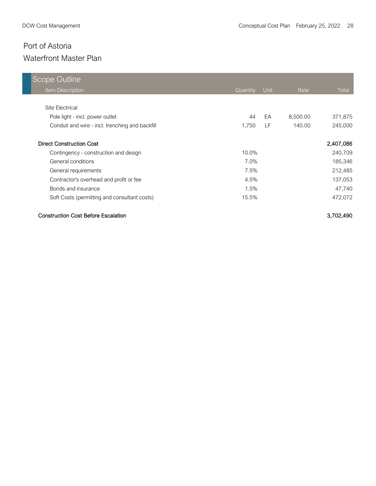| Scope Outline                                   |          |      |          |           |
|-------------------------------------------------|----------|------|----------|-----------|
| <b>Item Description</b>                         | Quantity | Unit | Rate     | Total     |
|                                                 |          |      |          |           |
| Site Electrical                                 |          |      |          |           |
| Pole light - incl. power outlet                 | 44       | EA   | 8,500.00 | 371,875   |
| Conduit and wire - incl. trenching and backfill | 1,750    | LF.  | 140.00   | 245,000   |
| <b>Direct Construction Cost</b>                 |          |      |          | 2,407,086 |
| Contingency - construction and design           | $10.0\%$ |      |          | 240,709   |
| General conditions                              | 7.0%     |      |          | 185,346   |
| General requirements                            | 7.5%     |      |          | 212,485   |
| Contractor's overhead and profit or fee         | 4.5%     |      |          | 137,053   |
| Bonds and insurance                             | 1.5%     |      |          | 47,740    |
| Soft Costs (permitting and consultant costs)    | 15.5%    |      |          | 472,072   |

#### Construction Cost Before Escalation 3,702,490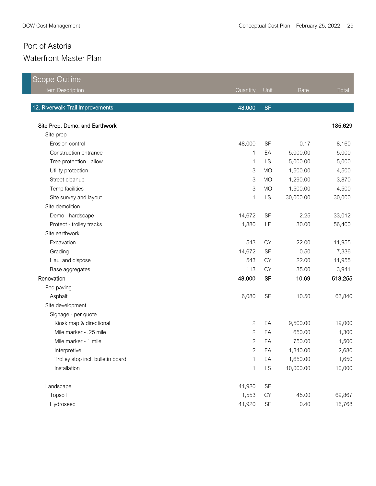a sa mga bagayan ng mga bagayan ng mga bagayan ng mga bagayan ng mga bagayang ng mga bagong mga bagong mga bag

| Scope Outline                     |                |                                   |           |         |
|-----------------------------------|----------------|-----------------------------------|-----------|---------|
| Item Description                  | Quantity       | Unit                              | Rate      | Total   |
|                                   |                |                                   |           |         |
| 12. Riverwalk Trail Improvements  | 48,000         | <b>SF</b>                         |           |         |
| Site Prep, Demo, and Earthwork    |                |                                   |           | 185,629 |
| Site prep                         |                |                                   |           |         |
| Erosion control                   | 48,000         | <b>SF</b>                         | 0.17      | 8,160   |
| Construction entrance             | 1              | EA                                | 5,000.00  | 5,000   |
| Tree protection - allow           | 1              | LS                                | 5,000.00  | 5,000   |
| Utility protection                | 3              | <b>MO</b>                         | 1,500.00  | 4,500   |
| Street cleanup                    | 3              | <b>MO</b>                         | 1,290.00  | 3,870   |
| Temp facilities                   | 3              | <b>MO</b>                         | 1,500.00  | 4,500   |
| Site survey and layout            | $\mathbf 1$    | LS                                | 30,000.00 | 30,000  |
| Site demolition                   |                |                                   |           |         |
| Demo - hardscape                  | 14,672         | <b>SF</b>                         | 2.25      | 33,012  |
| Protect - trolley tracks          | 1,880          | LF                                | 30.00     | 56,400  |
| Site earthwork                    |                |                                   |           |         |
| Excavation                        | 543            | <b>CY</b>                         | 22.00     | 11,955  |
| Grading                           | 14,672         | SF                                | 0.50      | 7,336   |
| Haul and dispose                  | 543            | <b>CY</b>                         | 22.00     | 11,955  |
| Base aggregates                   | 113            | <b>CY</b>                         | 35.00     | 3,941   |
| Renovation                        | 48,000         | <b>SF</b>                         | 10.69     | 513,255 |
| Ped paving                        |                |                                   |           |         |
| Asphalt                           | 6,080          | <b>SF</b>                         | 10.50     | 63,840  |
| Site development                  |                |                                   |           |         |
| Signage - per quote               |                |                                   |           |         |
| Kiosk map & directional           | $\overline{c}$ | EA                                | 9,500.00  | 19,000  |
| Mile marker - .25 mile            | $\mathbf{2}$   | EA                                | 650.00    | 1,300   |
| Mile marker - 1 mile              | $\mathbf{2}$   | EA                                | 750.00    | 1,500   |
| Interpretive                      | $\mathfrak{D}$ | EA                                | 1,340.00  | 2,680   |
| Trolley stop incl. bulletin board | 1              | EA                                | 1,650.00  | 1,650   |
| Installation                      | $\mathbf 1$    | LS                                | 10,000.00 | 10,000  |
| Landscape                         | 41,920         | $\ensuremath{\mathsf{SF}}\xspace$ |           |         |
| Topsoil                           | 1,553          | CY                                | 45.00     | 69,867  |
| Hydroseed                         | 41,920         | $\ensuremath{\mathsf{SF}}\xspace$ | 0.40      | 16,768  |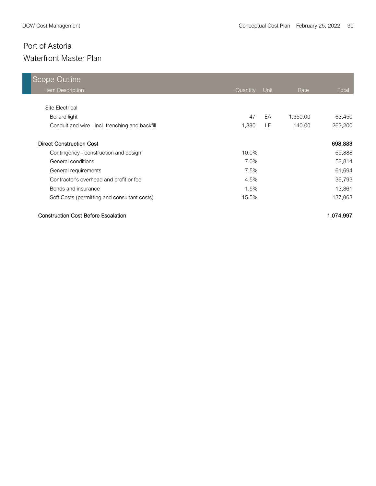| Scope Outline                                   |          |      |          |         |
|-------------------------------------------------|----------|------|----------|---------|
| Item Description                                | Quantity | Unit | Rate     | Total   |
|                                                 |          |      |          |         |
| Site Electrical                                 |          |      |          |         |
| <b>Bollard light</b>                            | 47       | EA   | 1,350.00 | 63,450  |
| Conduit and wire - incl. trenching and backfill | 1,880    | LF   | 140.00   | 263,200 |
| <b>Direct Construction Cost</b>                 |          |      |          | 698,883 |
| Contingency - construction and design           | 10.0%    |      |          | 69,888  |
| General conditions                              | 7.0%     |      |          | 53,814  |
| General requirements                            | 7.5%     |      |          | 61,694  |
| Contractor's overhead and profit or fee         | 4.5%     |      |          | 39,793  |
| Bonds and insurance                             | 1.5%     |      |          | 13,861  |
| Soft Costs (permitting and consultant costs)    | 15.5%    |      |          | 137,063 |

#### Construction Cost Before Escalation 1,074,997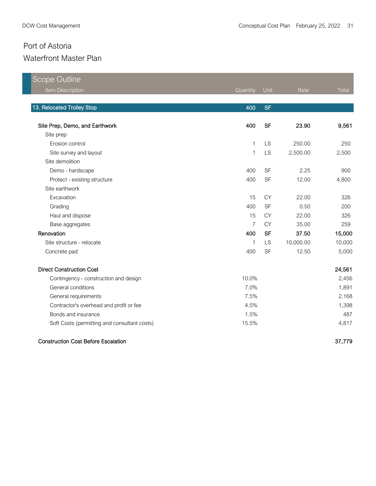| <b>Scope Outline</b>                         |                |           |           |        |
|----------------------------------------------|----------------|-----------|-----------|--------|
| Item Description                             | Quantity       | Unit      | Rate      | Total  |
| 13. Relocated Trolley Stop                   | 400            | <b>SF</b> |           |        |
| Site Prep, Demo, and Earthwork               | 400            | <b>SF</b> | 23.90     | 9,561  |
| Site prep                                    |                |           |           |        |
| Erosion control                              | 1              | <b>LS</b> | 250.00    | 250    |
| Site survey and layout                       | 1              | LS        | 2,500.00  | 2,500  |
| Site demolition                              |                |           |           |        |
| Demo - hardscape                             | 400            | <b>SF</b> | 2.25      | 900    |
| Protect - existing structure                 | 400            | SF        | 12.00     | 4,800  |
| Site earthwork                               |                |           |           |        |
| Excavation                                   | 15             | <b>CY</b> | 22.00     | 326    |
| Grading                                      | 400            | <b>SF</b> | 0.50      | 200    |
| Haul and dispose                             | 15             | <b>CY</b> | 22.00     | 326    |
| Base aggregates                              | $\overline{7}$ | <b>CY</b> | 35.00     | 259    |
| Renovation                                   | 400            | <b>SF</b> | 37.50     | 15,000 |
| Site structure - relocate                    | 1              | <b>LS</b> | 10,000.00 | 10,000 |
| Concrete pad                                 | 400            | <b>SF</b> | 12.50     | 5,000  |
| <b>Direct Construction Cost</b>              |                |           |           | 24,561 |
| Contingency - construction and design        | 10.0%          |           |           | 2,456  |
| General conditions                           | 7.0%           |           |           | 1,891  |
| General requirements                         | 7.5%           |           |           | 2,168  |
| Contractor's overhead and profit or fee      | 4.5%           |           |           | 1,398  |
| Bonds and insurance                          | 1.5%           |           |           | 487    |
| Soft Costs (permitting and consultant costs) | 15.5%          |           |           | 4,817  |
|                                              |                |           |           |        |

#### Construction Cost Before Escalation 37,779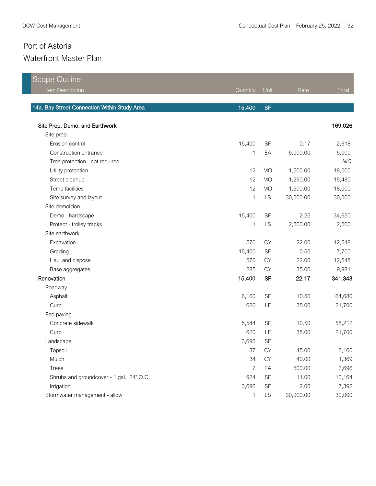| <b>Scope Outline</b>                         |          |           |           |            |
|----------------------------------------------|----------|-----------|-----------|------------|
| Item Description                             | Quantity | Unit      | Rate      | Total      |
|                                              |          |           |           |            |
| 14a. Bay Street Connection Within Study Area | 15,400   | <b>SF</b> |           |            |
| Site Prep, Demo, and Earthwork               |          |           |           | 169,026    |
| Site prep                                    |          |           |           |            |
| Erosion control                              | 15,400   | SF        | 0.17      | 2,618      |
| Construction entrance                        | 1        | EA        | 5,000.00  | 5,000      |
| Tree protection - not required               |          |           |           | <b>NIC</b> |
| Utility protection                           | 12       | <b>MO</b> | 1,500.00  | 18,000     |
| Street cleanup                               | 12       | <b>MO</b> | 1,290.00  | 15,480     |
| Temp facilities                              | 12       | <b>MO</b> | 1,500.00  | 18,000     |
| Site survey and layout                       | 1        | LS        | 30,000.00 | 30,000     |
| Site demolition                              |          |           |           |            |
| Demo - hardscape                             | 15,400   | SF        | 2.25      | 34,650     |
| Protect - trolley tracks                     | 1        | LS        | 2,500.00  | 2,500      |
| Site earthwork                               |          |           |           |            |
| Excavation                                   | 570      | CY        | 22.00     | 12,548     |
| Grading                                      | 15,400   | <b>SF</b> | 0.50      | 7,700      |
| Haul and dispose                             | 570      | <b>CY</b> | 22.00     | 12,548     |
| Base aggregates                              | 285      | <b>CY</b> | 35.00     | 9,981      |
| Renovation                                   | 15,400   | <b>SF</b> | 22.17     | 341,343    |
| Roadway                                      |          |           |           |            |
| Asphalt                                      | 6,160    | <b>SF</b> | 10.50     | 64,680     |
| Curb                                         | 620      | LF        | 35.00     | 21,700     |
| Ped paving                                   |          |           |           |            |
| Concrete sidewalk                            | 5,544    | SF        | 10.50     | 58,212     |
| Curb                                         | 620      | LF        | 35.00     | 21,700     |
| Landscape                                    | 3,696    | SF        |           |            |
| Topsoil                                      | 137      | CY        | 45.00     | 6,160      |
| Mulch                                        | 34       | СY        | 40.00     | 1,369      |
| Trees                                        | 7        | EA        | 500.00    | 3,696      |
| Shrubs and groundcover - 1 gal., 24" O.C.    | 924      | SF        | 11.00     | 10,164     |
| Irrigation                                   | 3,696    | SF        | 2.00      | 7,392      |
| Stormwater management - allow                | 1        | <b>LS</b> | 30,000.00 | 30,000     |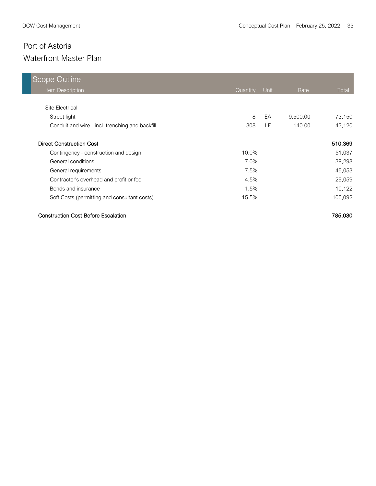## Waterfront Master Plan

| Scope Outline                                   |          |      |          |         |
|-------------------------------------------------|----------|------|----------|---------|
| Item Description                                | Quantity | Unit | Rate     | Total   |
|                                                 |          |      |          |         |
| Site Electrical                                 |          |      |          |         |
| Street light                                    | 8        | EA   | 9,500.00 | 73,150  |
| Conduit and wire - incl. trenching and backfill | 308      | LF.  | 140.00   | 43,120  |
| <b>Direct Construction Cost</b>                 |          |      |          | 510,369 |
| Contingency - construction and design           | 10.0%    |      |          | 51,037  |
| General conditions                              | 7.0%     |      |          | 39,298  |
| General requirements                            | 7.5%     |      |          | 45,053  |
| Contractor's overhead and profit or fee         | 4.5%     |      |          | 29,059  |
| Bonds and insurance                             | 1.5%     |      |          | 10,122  |
| Soft Costs (permitting and consultant costs)    | 15.5%    |      |          | 100,092 |

#### Construction Cost Before Escalation 785,030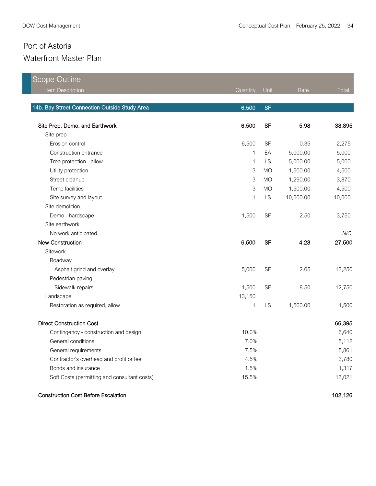| <b>Scope Outline</b>                          |          |           |           |            |
|-----------------------------------------------|----------|-----------|-----------|------------|
| Item Description                              | Quantity | Unit      | Rate      | Total      |
|                                               |          |           |           |            |
| 14b. Bay Street Connection Outside Study Area | 6,500    | <b>SF</b> |           |            |
| Site Prep, Demo, and Earthwork                | 6,500    | <b>SF</b> | 5.98      | 38,895     |
| Site prep                                     |          |           |           |            |
| Erosion control                               | 6,500    | SF        | 0.35      | 2,275      |
| Construction entrance                         | 1        | EA        | 5,000.00  | 5,000      |
| Tree protection - allow                       | 1        | LS        | 5,000.00  | 5,000      |
| Utility protection                            | 3        | <b>MO</b> | 1,500.00  | 4,500      |
| Street cleanup                                | 3        | <b>MO</b> | 1,290.00  | 3,870      |
| Temp facilities                               | 3        | <b>MO</b> | 1,500.00  | 4,500      |
| Site survey and layout                        | 1        | LS        | 10,000.00 | 10,000     |
| Site demolition                               |          |           |           |            |
| Demo - hardscape                              | 1,500    | <b>SF</b> | 2.50      | 3,750      |
| Site earthwork                                |          |           |           |            |
| No work anticipated                           |          |           |           | <b>NIC</b> |
| <b>New Construction</b>                       | 6,500    | <b>SF</b> | 4.23      | 27,500     |
| Sitework                                      |          |           |           |            |
| Roadway                                       |          |           |           |            |
| Asphalt grind and overlay                     | 5,000    | SF        | 2.65      | 13,250     |
| Pedestrian paving                             |          |           |           |            |
| Sidewalk repairs                              | 1,500    | <b>SF</b> | 8.50      | 12,750     |
| Landscape                                     | 13,150   |           |           |            |
| Restoration as required, allow                | 1        | LS        | 1,500.00  | 1,500      |
| <b>Direct Construction Cost</b>               |          |           |           | 66,395     |
| Contingency - construction and design         | 10.0%    |           |           | 6,640      |
| General conditions                            | 7.0%     |           |           | 5,112      |
| General requirements                          | 7.5%     |           |           | 5,861      |
| Contractor's overhead and profit or fee       | 4.5%     |           |           | 3,780      |
| Bonds and insurance                           | 1.5%     |           |           | 1,317      |
| Soft Costs (permitting and consultant costs)  | 15.5%    |           |           | 13,021     |
| <b>Construction Cost Before Escalation</b>    |          |           |           | 102,126    |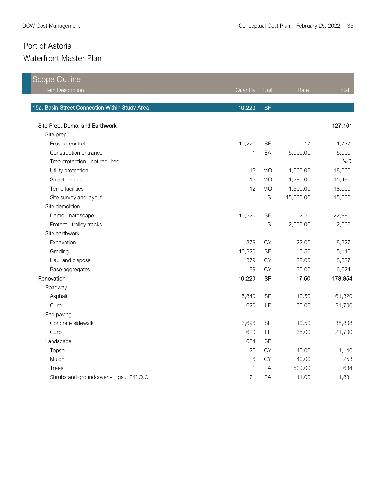| <b>Scope Outline</b>                           |             |           |           |            |
|------------------------------------------------|-------------|-----------|-----------|------------|
| Item Description                               | Quantity    | Unit      | Rate      | Total      |
|                                                |             |           |           |            |
| 15a. Basin Street Connection Within Study Area | 10,220      | <b>SF</b> |           |            |
| Site Prep, Demo, and Earthwork                 |             |           |           | 127,101    |
| Site prep                                      |             |           |           |            |
| Erosion control                                | 10,220      | SF        | 0.17      | 1,737      |
| Construction entrance                          | 1           | EA        | 5,000.00  | 5,000      |
| Tree protection - not required                 |             |           |           | <b>NIC</b> |
| Utility protection                             | 12          | <b>MO</b> | 1,500.00  | 18,000     |
| Street cleanup                                 | 12          | <b>MO</b> | 1,290.00  | 15,480     |
| Temp facilities                                | 12          | <b>MO</b> | 1,500.00  | 18,000     |
| Site survey and layout                         | $\mathbf 1$ | <b>LS</b> | 15,000.00 | 15,000     |
| Site demolition                                |             |           |           |            |
| Demo - hardscape                               | 10,220      | SF        | 2.25      | 22,995     |
| Protect - trolley tracks                       | 1           | <b>LS</b> | 2,500.00  | 2,500      |
| Site earthwork                                 |             |           |           |            |
| Excavation                                     | 379         | CY        | 22.00     | 8,327      |
| Grading                                        | 10,220      | SF        | 0.50      | 5,110      |
| Haul and dispose                               | 379         | CY        | 22.00     | 8,327      |
| Base aggregates                                | 189         | <b>CY</b> | 35.00     | 6,624      |
| Renovation                                     | 10,220      | <b>SF</b> | 17.50     | 178,854    |
| Roadway                                        |             |           |           |            |
| Asphalt                                        | 5,840       | SF        | 10.50     | 61,320     |
| Curb                                           | 620         | LF        | 35.00     | 21,700     |
| Ped paving                                     |             |           |           |            |
| Concrete sidewalk                              | 3,696       | SF        | 10.50     | 38,808     |
| Curb                                           | 620         | LF        | 35.00     | 21,700     |
| Landscape                                      | 684         | SF        |           |            |
| Topsoil                                        | 25          | <b>CY</b> | 45.00     | 1,140      |
| Mulch                                          | 6           | <b>CY</b> | 40.00     | 253        |
| <b>Trees</b>                                   | $\mathbf 1$ | EA        | 500.00    | 684        |
| Shrubs and groundcover - 1 gal., 24" O.C.      | 171         | EA        | 11.00     | 1,881      |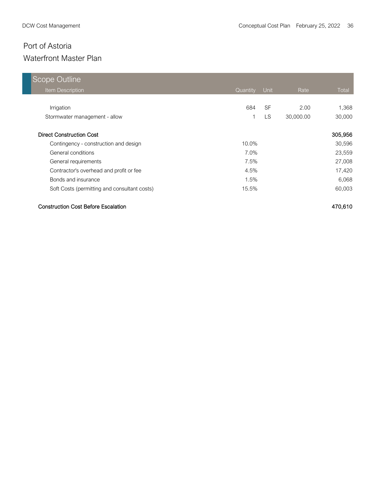| Scope Outline                                |          |           |           |         |
|----------------------------------------------|----------|-----------|-----------|---------|
| Item Description                             | Quantity | Unit      | Rate      | Total   |
|                                              |          |           |           |         |
| Irrigation                                   | 684      | <b>SF</b> | 2.00      | 1,368   |
| Stormwater management - allow                |          | LS.       | 30,000.00 | 30,000  |
| <b>Direct Construction Cost</b>              |          |           |           | 305,956 |
| Contingency - construction and design        | $10.0\%$ |           |           | 30,596  |
| General conditions                           | 7.0%     |           |           | 23,559  |
| General requirements                         | 7.5%     |           |           | 27,008  |
| Contractor's overhead and profit or fee      | 4.5%     |           |           | 17,420  |
| Bonds and insurance                          | 1.5%     |           |           | 6,068   |
| Soft Costs (permitting and consultant costs) | 15.5%    |           |           | 60,003  |

#### Construction Cost Before Escalation 470,610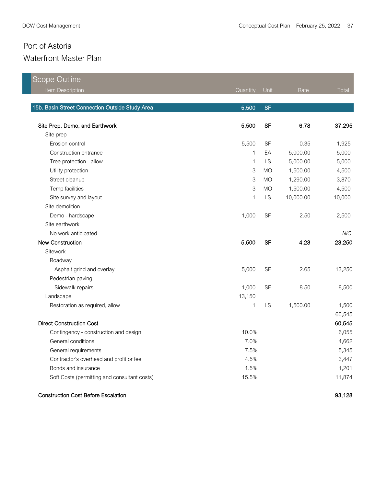| Scope Outline                                   |                           |           |           |            |
|-------------------------------------------------|---------------------------|-----------|-----------|------------|
| Item Description                                | Quantity                  | Unit      | Rate      | Total      |
|                                                 |                           |           |           |            |
| 15b. Basin Street Connection Outside Study Area | 5,500                     | <b>SF</b> |           |            |
| Site Prep, Demo, and Earthwork                  | 5,500                     | <b>SF</b> | 6.78      | 37,295     |
| Site prep                                       |                           |           |           |            |
| Erosion control                                 | 5,500                     | <b>SF</b> | 0.35      | 1,925      |
| Construction entrance                           | 1                         | EA        | 5,000.00  | 5,000      |
| Tree protection - allow                         | 1                         | LS        | 5,000.00  | 5,000      |
| Utility protection                              | $\ensuremath{\mathsf{3}}$ | <b>MO</b> | 1,500.00  | 4,500      |
| Street cleanup                                  | 3                         | <b>MO</b> | 1,290.00  | 3,870      |
| Temp facilities                                 | 3                         | <b>MO</b> | 1,500.00  | 4,500      |
| Site survey and layout                          | 1                         | LS        | 10,000.00 | 10,000     |
| Site demolition                                 |                           |           |           |            |
| Demo - hardscape                                | 1,000                     | <b>SF</b> | 2.50      | 2,500      |
| Site earthwork                                  |                           |           |           |            |
| No work anticipated                             |                           |           |           | <b>NIC</b> |
| <b>New Construction</b>                         | 5,500                     | <b>SF</b> | 4.23      | 23,250     |
| Sitework                                        |                           |           |           |            |
| Roadway                                         |                           |           |           |            |
| Asphalt grind and overlay                       | 5,000                     | <b>SF</b> | 2.65      | 13,250     |
| Pedestrian paving                               |                           |           |           |            |
| Sidewalk repairs                                | 1,000                     | <b>SF</b> | 8.50      | 8,500      |
| Landscape                                       | 13,150                    |           |           |            |
| Restoration as required, allow                  | 1                         | LS        | 1,500.00  | 1,500      |
|                                                 |                           |           |           | 60,545     |
| <b>Direct Construction Cost</b>                 |                           |           |           | 60,545     |
| Contingency - construction and design           | 10.0%                     |           |           | 6,055      |
| General conditions                              | 7.0%                      |           |           | 4,662      |
| General requirements                            | 7.5%                      |           |           | 5,345      |
| Contractor's overhead and profit or fee         | 4.5%                      |           |           | 3,447      |
| Bonds and insurance                             | 1.5%                      |           |           | 1,201      |
| Soft Costs (permitting and consultant costs)    | 15.5%                     |           |           | 11,874     |
| <b>Construction Cost Before Escalation</b>      |                           |           |           | 93,128     |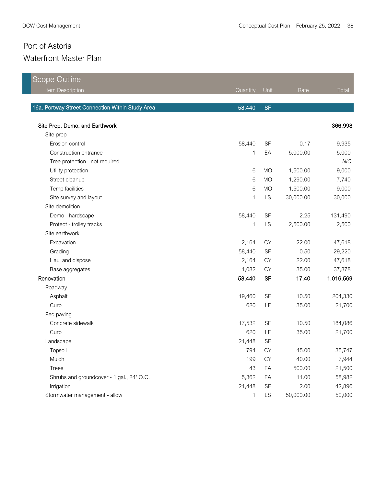| <b>Scope Outline</b>                             |              |           |           |            |
|--------------------------------------------------|--------------|-----------|-----------|------------|
| Item Description                                 | Quantity     | Unit      | Rate      | Total      |
|                                                  |              |           |           |            |
| 16a. Portway Street Connection Within Study Area | 58,440       | <b>SF</b> |           |            |
| Site Prep, Demo, and Earthwork                   |              |           |           | 366,998    |
| Site prep                                        |              |           |           |            |
| Erosion control                                  | 58,440       | <b>SF</b> | 0.17      | 9,935      |
| Construction entrance                            | 1            | EA        | 5,000.00  | 5,000      |
| Tree protection - not required                   |              |           |           | <b>NIC</b> |
| Utility protection                               | 6            | <b>MO</b> | 1,500.00  | 9,000      |
| Street cleanup                                   | 6            | <b>MO</b> | 1,290.00  | 7,740      |
| Temp facilities                                  | 6            | <b>MO</b> | 1,500.00  | 9,000      |
| Site survey and layout                           | 1            | LS        | 30,000.00 | 30,000     |
| Site demolition                                  |              |           |           |            |
| Demo - hardscape                                 | 58,440       | <b>SF</b> | 2.25      | 131,490    |
| Protect - trolley tracks                         | 1            | LS        | 2,500.00  | 2,500      |
| Site earthwork                                   |              |           |           |            |
| Excavation                                       | 2,164        | <b>CY</b> | 22.00     | 47,618     |
| Grading                                          | 58,440       | SF        | 0.50      | 29,220     |
| Haul and dispose                                 | 2,164        | <b>CY</b> | 22.00     | 47,618     |
| Base aggregates                                  | 1,082        | <b>CY</b> | 35.00     | 37,878     |
| Renovation                                       | 58,440       | <b>SF</b> | 17.40     | 1,016,569  |
| Roadway                                          |              |           |           |            |
| Asphalt                                          | 19,460       | <b>SF</b> | 10.50     | 204,330    |
| Curb                                             | 620          | LF        | 35.00     | 21,700     |
| Ped paving                                       |              |           |           |            |
| Concrete sidewalk                                | 17,532       | <b>SF</b> | 10.50     | 184,086    |
| Curb                                             | 620          | LF        | 35.00     | 21,700     |
| Landscape                                        | 21,448       | SF        |           |            |
| Topsoil                                          | 794          | CY        | 45.00     | 35,747     |
| Mulch                                            | 199          | CY        | 40.00     | 7,944      |
| <b>Trees</b>                                     | 43           | EA        | 500.00    | 21,500     |
| Shrubs and groundcover - 1 gal., 24" O.C.        | 5,362        | EA        | 11.00     | 58,982     |
| Irrigation                                       | 21,448       | <b>SF</b> | 2.00      | 42,896     |
| Stormwater management - allow                    | $\mathbf{1}$ | <b>LS</b> | 50,000.00 | 50,000     |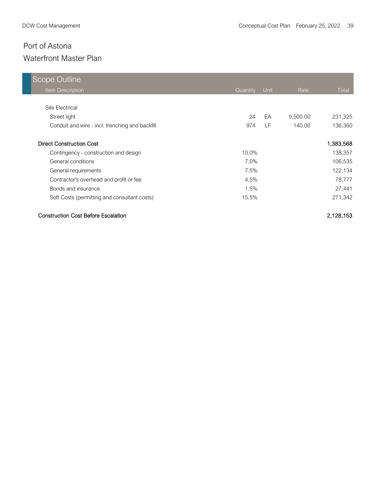| Scope Outline                                   |          |      |          |              |
|-------------------------------------------------|----------|------|----------|--------------|
| <b>Item Description</b>                         | Quantity | Unit | Rate     | <b>Total</b> |
|                                                 |          |      |          |              |
| Site Electrical                                 |          |      |          |              |
| Street light                                    | 24       | EA   | 9,500.00 | 231,325      |
| Conduit and wire - incl. trenching and backfill | 974      | LF.  | 140.00   | 136,360      |
| <b>Direct Construction Cost</b>                 |          |      |          | 1,383,568    |
| Contingency - construction and design           | 10.0%    |      |          | 138,357      |
| General conditions                              | 7.0%     |      |          | 106,535      |
| General requirements                            | 7.5%     |      |          | 122,134      |
| Contractor's overhead and profit or fee         | 4.5%     |      |          | 78,777       |
| Bonds and insurance                             | 1.5%     |      |          | 27,441       |
| Soft Costs (permitting and consultant costs)    | 15.5%    |      |          | 271,342      |

#### Construction Cost Before Escalation 2,128,153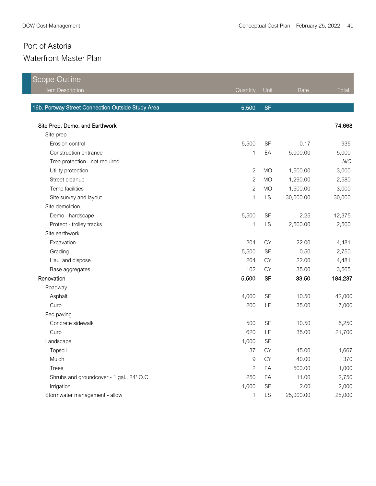| <b>Scope Outline</b>                              |              |           |           |            |
|---------------------------------------------------|--------------|-----------|-----------|------------|
| Item Description                                  | Quantity     | Unit      | Rate      | Total      |
|                                                   |              |           |           |            |
| 16b. Portway Street Connection Outside Study Area | 5,500        | <b>SF</b> |           |            |
| Site Prep, Demo, and Earthwork                    |              |           |           | 74,668     |
| Site prep                                         |              |           |           |            |
| Erosion control                                   | 5,500        | <b>SF</b> | 0.17      | 935        |
| Construction entrance                             | 1            | EA        | 5,000.00  | 5,000      |
| Tree protection - not required                    |              |           |           | <b>NIC</b> |
| Utility protection                                | $\mathbf{2}$ | <b>MO</b> | 1,500.00  | 3,000      |
| Street cleanup                                    | $\mathbf{2}$ | <b>MO</b> | 1,290.00  | 2,580      |
| Temp facilities                                   | $\mathbf{2}$ | <b>MO</b> | 1,500.00  | 3,000      |
| Site survey and layout                            | 1            | LS        | 30,000.00 | 30,000     |
| Site demolition                                   |              |           |           |            |
| Demo - hardscape                                  | 5,500        | <b>SF</b> | 2.25      | 12,375     |
| Protect - trolley tracks                          | 1            | LS        | 2,500.00  | 2,500      |
| Site earthwork                                    |              |           |           |            |
| Excavation                                        | 204          | CY        | 22.00     | 4,481      |
| Grading                                           | 5,500        | <b>SF</b> | 0.50      | 2,750      |
| Haul and dispose                                  | 204          | CY        | 22.00     | 4,481      |
| Base aggregates                                   | 102          | <b>CY</b> | 35.00     | 3,565      |
| Renovation                                        | 5,500        | <b>SF</b> | 33.50     | 184,237    |
| Roadway                                           |              |           |           |            |
| Asphalt                                           | 4,000        | <b>SF</b> | 10.50     | 42,000     |
| Curb                                              | 200          | LF        | 35.00     | 7,000      |
| Ped paving                                        |              |           |           |            |
| Concrete sidewalk                                 | 500          | <b>SF</b> | 10.50     | 5,250      |
| Curb                                              | 620          | LF        | 35.00     | 21,700     |
| Landscape                                         | 1,000        | SF        |           |            |
| Topsoil                                           | 37           | <b>CY</b> | 45.00     | 1,667      |
| Mulch                                             | 9            | CY        | 40.00     | 370        |
| <b>Trees</b>                                      | $\mathbf{2}$ | EA        | 500.00    | 1,000      |
| Shrubs and groundcover - 1 gal., 24" O.C.         | 250          | EA        | 11.00     | 2,750      |
| Irrigation                                        | 1,000        | SF        | 2.00      | 2,000      |
| Stormwater management - allow                     | $\mathbf{1}$ | <b>LS</b> | 25,000.00 | 25,000     |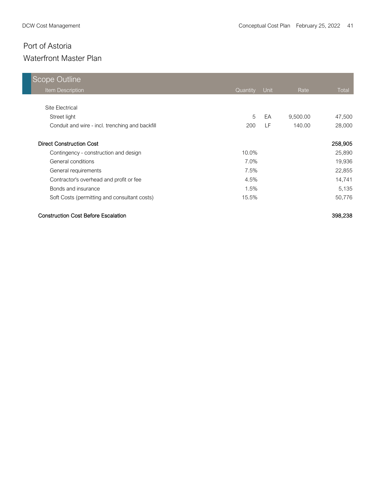| Scope Outline                                   |          |      |          |         |
|-------------------------------------------------|----------|------|----------|---------|
| Item Description                                | Quantity | Unit | Rate     | Total   |
|                                                 |          |      |          |         |
| Site Electrical                                 |          |      |          |         |
| Street light                                    | 5        | EA   | 9,500.00 | 47,500  |
| Conduit and wire - incl. trenching and backfill | 200      | LF.  | 140.00   | 28,000  |
| <b>Direct Construction Cost</b>                 |          |      |          | 258,905 |
| Contingency - construction and design           | 10.0%    |      |          | 25,890  |
| General conditions                              | 7.0%     |      |          | 19,936  |
| General requirements                            | 7.5%     |      |          | 22,855  |
| Contractor's overhead and profit or fee         | 4.5%     |      |          | 14,741  |
| Bonds and insurance                             | 1.5%     |      |          | 5,135   |
| Soft Costs (permitting and consultant costs)    | 15.5%    |      |          | 50,776  |

#### Construction Cost Before Escalation 398,238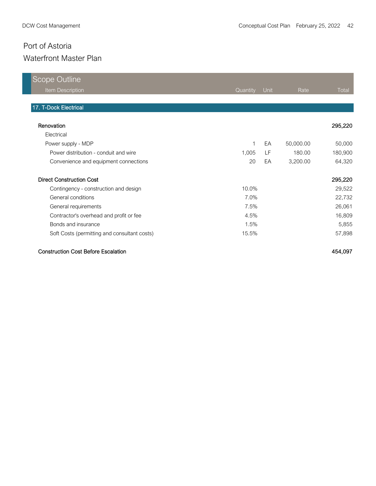| <b>Scope Outline</b>                         |          |      |           |              |
|----------------------------------------------|----------|------|-----------|--------------|
| Item Description                             | Quantity | Unit | Rate      | <b>Total</b> |
|                                              |          |      |           |              |
| 17. T-Dock Electrical                        |          |      |           |              |
|                                              |          |      |           |              |
| Renovation                                   |          |      |           | 295,220      |
| Electrical                                   |          |      |           |              |
| Power supply - MDP                           | 1        | EA   | 50,000.00 | 50,000       |
| Power distribution - conduit and wire        | 1,005    | LF   | 180.00    | 180,900      |
| Convenience and equipment connections        | 20       | EA   | 3,200.00  | 64,320       |
| <b>Direct Construction Cost</b>              |          |      |           | 295,220      |
| Contingency - construction and design        | 10.0%    |      |           | 29,522       |
| General conditions                           | 7.0%     |      |           | 22,732       |
| General requirements                         | 7.5%     |      |           | 26,061       |
| Contractor's overhead and profit or fee      | 4.5%     |      |           | 16,809       |
| Bonds and insurance                          | 1.5%     |      |           | 5,855        |
| Soft Costs (permitting and consultant costs) | 15.5%    |      |           | 57,898       |

#### Construction Cost Before Escalation 454,097